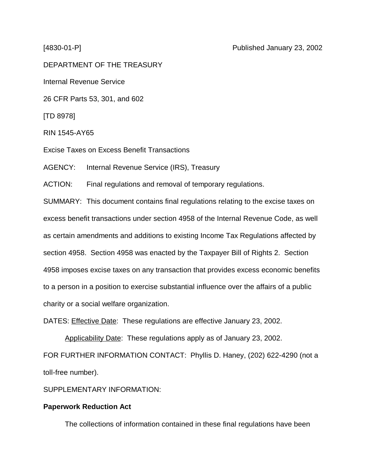DEPARTMENT OF THE TREASURY

Internal Revenue Service

26 CFR Parts 53, 301, and 602

[TD 8978]

RIN 1545-AY65

Excise Taxes on Excess Benefit Transactions

AGENCY: Internal Revenue Service (IRS), Treasury

ACTION: Final regulations and removal of temporary regulations.

SUMMARY: This document contains final regulations relating to the excise taxes on excess benefit transactions under section 4958 of the Internal Revenue Code, as well as certain amendments and additions to existing Income Tax Regulations affected by section 4958. Section 4958 was enacted by the Taxpayer Bill of Rights 2. Section 4958 imposes excise taxes on any transaction that provides excess economic benefits to a person in a position to exercise substantial influence over the affairs of a public charity or a social welfare organization.

DATES: Effective Date: These regulations are effective January 23, 2002.

Applicability Date: These regulations apply as of January 23, 2002. FOR FURTHER INFORMATION CONTACT: Phyllis D. Haney, (202) 622-4290 (not a toll-free number).

SUPPLEMENTARY INFORMATION:

### **Paperwork Reduction Act**

The collections of information contained in these final regulations have been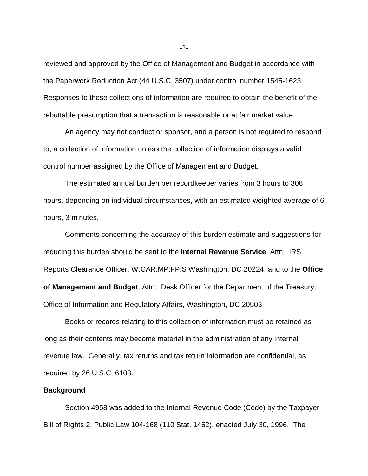reviewed and approved by the Office of Management and Budget in accordance with the Paperwork Reduction Act (44 U.S.C. 3507) under control number 1545-1623. Responses to these collections of information are required to obtain the benefit of the rebuttable presumption that a transaction is reasonable or at fair market value.

An agency may not conduct or sponsor, and a person is not required to respond to, a collection of information unless the collection of information displays a valid control number assigned by the Office of Management and Budget.

The estimated annual burden per recordkeeper varies from 3 hours to 308 hours, depending on individual circumstances, with an estimated weighted average of 6 hours, 3 minutes.

Comments concerning the accuracy of this burden estimate and suggestions for reducing this burden should be sent to the **Internal Revenue Service**, Attn: IRS Reports Clearance Officer, W:CAR:MP:FP:S Washington, DC 20224, and to the **Office of Management and Budget**, Attn: Desk Officer for the Department of the Treasury, Office of Information and Regulatory Affairs, Washington, DC 20503.

Books or records relating to this collection of information must be retained as long as their contents may become material in the administration of any internal revenue law. Generally, tax returns and tax return information are confidential, as required by 26 U.S.C. 6103.

#### **Background**

Section 4958 was added to the Internal Revenue Code (Code) by the Taxpayer Bill of Rights 2, Public Law 104-168 (110 Stat. 1452), enacted July 30, 1996. The

 $-2$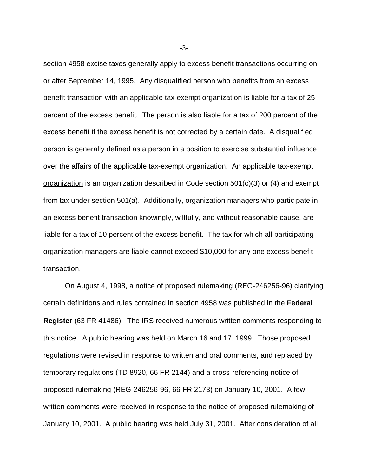section 4958 excise taxes generally apply to excess benefit transactions occurring on or after September 14, 1995. Any disqualified person who benefits from an excess benefit transaction with an applicable tax-exempt organization is liable for a tax of 25 percent of the excess benefit. The person is also liable for a tax of 200 percent of the excess benefit if the excess benefit is not corrected by a certain date. A disqualified person is generally defined as a person in a position to exercise substantial influence over the affairs of the applicable tax-exempt organization. An applicable tax-exempt organization is an organization described in Code section 501(c)(3) or (4) and exempt from tax under section 501(a). Additionally, organization managers who participate in an excess benefit transaction knowingly, willfully, and without reasonable cause, are liable for a tax of 10 percent of the excess benefit. The tax for which all participating organization managers are liable cannot exceed \$10,000 for any one excess benefit transaction.

On August 4, 1998, a notice of proposed rulemaking (REG-246256-96) clarifying certain definitions and rules contained in section 4958 was published in the **Federal Register** (63 FR 41486). The IRS received numerous written comments responding to this notice. A public hearing was held on March 16 and 17, 1999. Those proposed regulations were revised in response to written and oral comments, and replaced by temporary regulations (TD 8920, 66 FR 2144) and a cross-referencing notice of proposed rulemaking (REG-246256-96, 66 FR 2173) on January 10, 2001. A few written comments were received in response to the notice of proposed rulemaking of January 10, 2001. A public hearing was held July 31, 2001. After consideration of all

-3-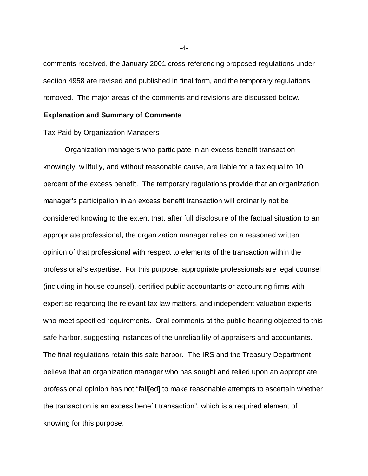comments received, the January 2001 cross-referencing proposed regulations under section 4958 are revised and published in final form, and the temporary regulations removed. The major areas of the comments and revisions are discussed below.

#### **Explanation and Summary of Comments**

#### Tax Paid by Organization Managers

Organization managers who participate in an excess benefit transaction knowingly, willfully, and without reasonable cause, are liable for a tax equal to 10 percent of the excess benefit. The temporary regulations provide that an organization manager's participation in an excess benefit transaction will ordinarily not be considered knowing to the extent that, after full disclosure of the factual situation to an appropriate professional, the organization manager relies on a reasoned written opinion of that professional with respect to elements of the transaction within the professional's expertise. For this purpose, appropriate professionals are legal counsel (including in-house counsel), certified public accountants or accounting firms with expertise regarding the relevant tax law matters, and independent valuation experts who meet specified requirements. Oral comments at the public hearing objected to this safe harbor, suggesting instances of the unreliability of appraisers and accountants. The final regulations retain this safe harbor. The IRS and the Treasury Department believe that an organization manager who has sought and relied upon an appropriate professional opinion has not "fail[ed] to make reasonable attempts to ascertain whether the transaction is an excess benefit transaction", which is a required element of knowing for this purpose.

-4-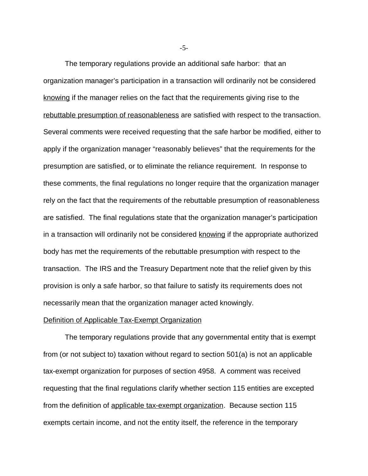The temporary regulations provide an additional safe harbor: that an organization manager's participation in a transaction will ordinarily not be considered knowing if the manager relies on the fact that the requirements giving rise to the rebuttable presumption of reasonableness are satisfied with respect to the transaction. Several comments were received requesting that the safe harbor be modified, either to apply if the organization manager "reasonably believes" that the requirements for the presumption are satisfied, or to eliminate the reliance requirement. In response to these comments, the final regulations no longer require that the organization manager rely on the fact that the requirements of the rebuttable presumption of reasonableness are satisfied. The final regulations state that the organization manager's participation in a transaction will ordinarily not be considered knowing if the appropriate authorized body has met the requirements of the rebuttable presumption with respect to the transaction. The IRS and the Treasury Department note that the relief given by this provision is only a safe harbor, so that failure to satisfy its requirements does not necessarily mean that the organization manager acted knowingly.

### Definition of Applicable Tax-Exempt Organization

The temporary regulations provide that any governmental entity that is exempt from (or not subject to) taxation without regard to section 501(a) is not an applicable tax-exempt organization for purposes of section 4958. A comment was received requesting that the final regulations clarify whether section 115 entities are excepted from the definition of applicable tax-exempt organization. Because section 115 exempts certain income, and not the entity itself, the reference in the temporary

-5-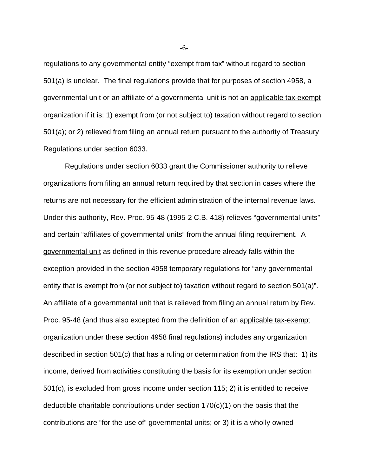regulations to any governmental entity "exempt from tax" without regard to section 501(a) is unclear. The final regulations provide that for purposes of section 4958, a governmental unit or an affiliate of a governmental unit is not an applicable tax-exempt organization if it is: 1) exempt from (or not subject to) taxation without regard to section 501(a); or 2) relieved from filing an annual return pursuant to the authority of Treasury Regulations under section 6033.

Regulations under section 6033 grant the Commissioner authority to relieve organizations from filing an annual return required by that section in cases where the returns are not necessary for the efficient administration of the internal revenue laws. Under this authority, Rev. Proc. 95-48 (1995-2 C.B. 418) relieves "governmental units" and certain "affiliates of governmental units" from the annual filing requirement. A governmental unit as defined in this revenue procedure already falls within the exception provided in the section 4958 temporary regulations for "any governmental entity that is exempt from (or not subject to) taxation without regard to section 501(a)". An affiliate of a governmental unit that is relieved from filing an annual return by Rev. Proc. 95-48 (and thus also excepted from the definition of an applicable tax-exempt organization under these section 4958 final regulations) includes any organization described in section 501(c) that has a ruling or determination from the IRS that: 1) its income, derived from activities constituting the basis for its exemption under section 501(c), is excluded from gross income under section 115; 2) it is entitled to receive deductible charitable contributions under section 170(c)(1) on the basis that the contributions are "for the use of" governmental units; or 3) it is a wholly owned

-6-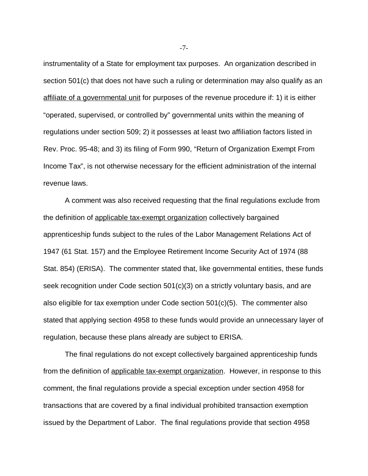instrumentality of a State for employment tax purposes. An organization described in section 501(c) that does not have such a ruling or determination may also qualify as an affiliate of a governmental unit for purposes of the revenue procedure if: 1) it is either "operated, supervised, or controlled by" governmental units within the meaning of regulations under section 509; 2) it possesses at least two affiliation factors listed in Rev. Proc. 95-48; and 3) its filing of Form 990, "Return of Organization Exempt From Income Tax", is not otherwise necessary for the efficient administration of the internal revenue laws.

A comment was also received requesting that the final regulations exclude from the definition of applicable tax-exempt organization collectively bargained apprenticeship funds subject to the rules of the Labor Management Relations Act of 1947 (61 Stat. 157) and the Employee Retirement Income Security Act of 1974 (88 Stat. 854) (ERISA). The commenter stated that, like governmental entities, these funds seek recognition under Code section 501(c)(3) on a strictly voluntary basis, and are also eligible for tax exemption under Code section 501(c)(5). The commenter also stated that applying section 4958 to these funds would provide an unnecessary layer of regulation, because these plans already are subject to ERISA.

The final regulations do not except collectively bargained apprenticeship funds from the definition of applicable tax-exempt organization. However, in response to this comment, the final regulations provide a special exception under section 4958 for transactions that are covered by a final individual prohibited transaction exemption issued by the Department of Labor. The final regulations provide that section 4958

-7-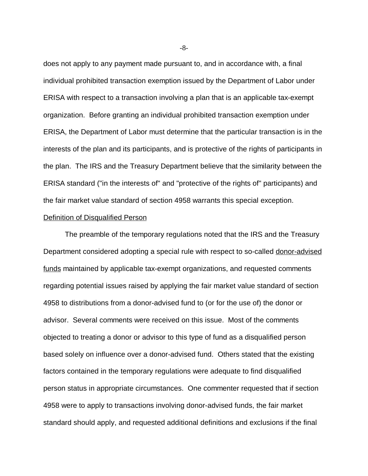does not apply to any payment made pursuant to, and in accordance with, a final individual prohibited transaction exemption issued by the Department of Labor under ERISA with respect to a transaction involving a plan that is an applicable tax-exempt organization. Before granting an individual prohibited transaction exemption under ERISA, the Department of Labor must determine that the particular transaction is in the interests of the plan and its participants, and is protective of the rights of participants in the plan. The IRS and the Treasury Department believe that the similarity between the ERISA standard ("in the interests of" and "protective of the rights of" participants) and the fair market value standard of section 4958 warrants this special exception.

### Definition of Disqualified Person

The preamble of the temporary regulations noted that the IRS and the Treasury Department considered adopting a special rule with respect to so-called donor-advised funds maintained by applicable tax-exempt organizations, and requested comments regarding potential issues raised by applying the fair market value standard of section 4958 to distributions from a donor-advised fund to (or for the use of) the donor or advisor. Several comments were received on this issue. Most of the comments objected to treating a donor or advisor to this type of fund as a disqualified person based solely on influence over a donor-advised fund. Others stated that the existing factors contained in the temporary regulations were adequate to find disqualified person status in appropriate circumstances. One commenter requested that if section 4958 were to apply to transactions involving donor-advised funds, the fair market standard should apply, and requested additional definitions and exclusions if the final

-8-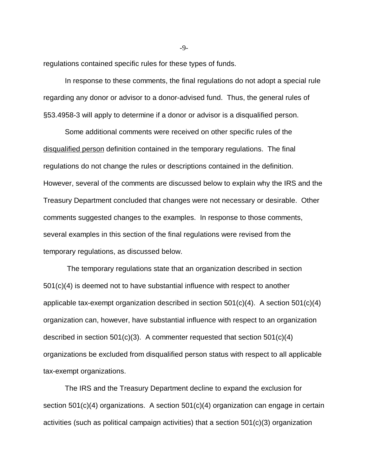regulations contained specific rules for these types of funds.

In response to these comments, the final regulations do not adopt a special rule regarding any donor or advisor to a donor-advised fund. Thus, the general rules of §53.4958-3 will apply to determine if a donor or advisor is a disqualified person.

Some additional comments were received on other specific rules of the disqualified person definition contained in the temporary regulations. The final regulations do not change the rules or descriptions contained in the definition. However, several of the comments are discussed below to explain why the IRS and the Treasury Department concluded that changes were not necessary or desirable. Other comments suggested changes to the examples. In response to those comments, several examples in this section of the final regulations were revised from the temporary regulations, as discussed below.

 The temporary regulations state that an organization described in section  $501(c)(4)$  is deemed not to have substantial influence with respect to another applicable tax-exempt organization described in section 501(c)(4). A section 501(c)(4) organization can, however, have substantial influence with respect to an organization described in section 501(c)(3). A commenter requested that section 501(c)(4) organizations be excluded from disqualified person status with respect to all applicable tax-exempt organizations.

The IRS and the Treasury Department decline to expand the exclusion for section 501(c)(4) organizations. A section 501(c)(4) organization can engage in certain activities (such as political campaign activities) that a section 501(c)(3) organization

-9-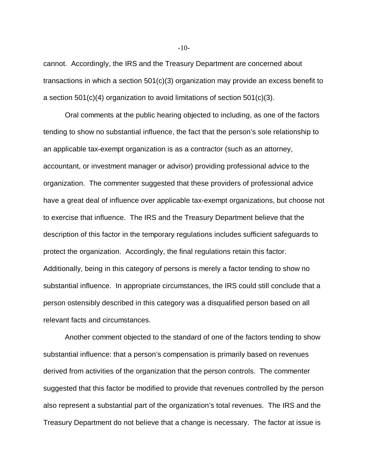cannot. Accordingly, the IRS and the Treasury Department are concerned about transactions in which a section 501(c)(3) organization may provide an excess benefit to a section 501(c)(4) organization to avoid limitations of section 501(c)(3).

Oral comments at the public hearing objected to including, as one of the factors tending to show no substantial influence, the fact that the person's sole relationship to an applicable tax-exempt organization is as a contractor (such as an attorney, accountant, or investment manager or advisor) providing professional advice to the organization. The commenter suggested that these providers of professional advice have a great deal of influence over applicable tax-exempt organizations, but choose not to exercise that influence. The IRS and the Treasury Department believe that the description of this factor in the temporary regulations includes sufficient safeguards to protect the organization. Accordingly, the final regulations retain this factor. Additionally, being in this category of persons is merely a factor tending to show no substantial influence. In appropriate circumstances, the IRS could still conclude that a person ostensibly described in this category was a disqualified person based on all relevant facts and circumstances.

Another comment objected to the standard of one of the factors tending to show substantial influence: that a person's compensation is primarily based on revenues derived from activities of the organization that the person controls. The commenter suggested that this factor be modified to provide that revenues controlled by the person also represent a substantial part of the organization's total revenues. The IRS and the Treasury Department do not believe that a change is necessary. The factor at issue is

 $-10-$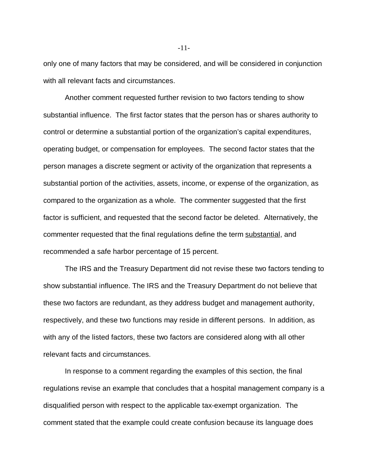only one of many factors that may be considered, and will be considered in conjunction with all relevant facts and circumstances.

Another comment requested further revision to two factors tending to show substantial influence. The first factor states that the person has or shares authority to control or determine a substantial portion of the organization's capital expenditures, operating budget, or compensation for employees. The second factor states that the person manages a discrete segment or activity of the organization that represents a substantial portion of the activities, assets, income, or expense of the organization, as compared to the organization as a whole. The commenter suggested that the first factor is sufficient, and requested that the second factor be deleted. Alternatively, the commenter requested that the final regulations define the term substantial, and recommended a safe harbor percentage of 15 percent.

The IRS and the Treasury Department did not revise these two factors tending to show substantial influence. The IRS and the Treasury Department do not believe that these two factors are redundant, as they address budget and management authority, respectively, and these two functions may reside in different persons. In addition, as with any of the listed factors, these two factors are considered along with all other relevant facts and circumstances.

In response to a comment regarding the examples of this section, the final regulations revise an example that concludes that a hospital management company is a disqualified person with respect to the applicable tax-exempt organization. The comment stated that the example could create confusion because its language does

-11-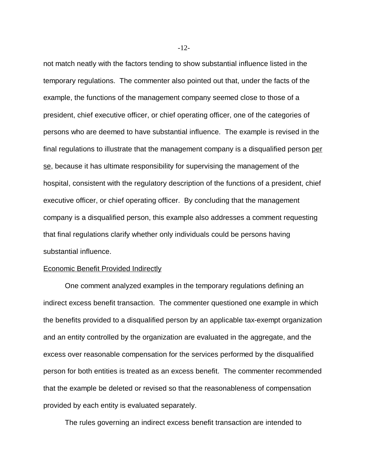not match neatly with the factors tending to show substantial influence listed in the temporary regulations. The commenter also pointed out that, under the facts of the example, the functions of the management company seemed close to those of a president, chief executive officer, or chief operating officer, one of the categories of persons who are deemed to have substantial influence. The example is revised in the final regulations to illustrate that the management company is a disqualified person per se, because it has ultimate responsibility for supervising the management of the hospital, consistent with the regulatory description of the functions of a president, chief executive officer, or chief operating officer. By concluding that the management company is a disqualified person, this example also addresses a comment requesting that final regulations clarify whether only individuals could be persons having substantial influence.

#### Economic Benefit Provided Indirectly

One comment analyzed examples in the temporary regulations defining an indirect excess benefit transaction. The commenter questioned one example in which the benefits provided to a disqualified person by an applicable tax-exempt organization and an entity controlled by the organization are evaluated in the aggregate, and the excess over reasonable compensation for the services performed by the disqualified person for both entities is treated as an excess benefit. The commenter recommended that the example be deleted or revised so that the reasonableness of compensation provided by each entity is evaluated separately.

The rules governing an indirect excess benefit transaction are intended to

-12-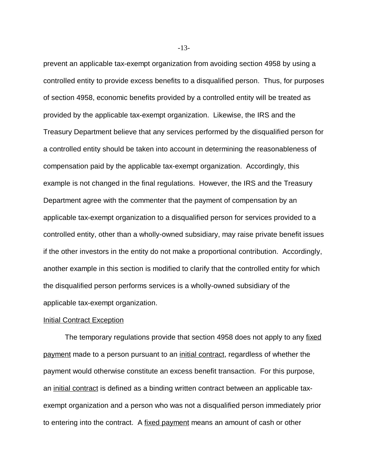prevent an applicable tax-exempt organization from avoiding section 4958 by using a controlled entity to provide excess benefits to a disqualified person. Thus, for purposes of section 4958, economic benefits provided by a controlled entity will be treated as provided by the applicable tax-exempt organization. Likewise, the IRS and the Treasury Department believe that any services performed by the disqualified person for a controlled entity should be taken into account in determining the reasonableness of compensation paid by the applicable tax-exempt organization. Accordingly, this example is not changed in the final regulations. However, the IRS and the Treasury Department agree with the commenter that the payment of compensation by an applicable tax-exempt organization to a disqualified person for services provided to a controlled entity, other than a wholly-owned subsidiary, may raise private benefit issues if the other investors in the entity do not make a proportional contribution. Accordingly, another example in this section is modified to clarify that the controlled entity for which the disqualified person performs services is a wholly-owned subsidiary of the applicable tax-exempt organization.

### **Initial Contract Exception**

The temporary regulations provide that section 4958 does not apply to any fixed payment made to a person pursuant to an initial contract, regardless of whether the payment would otherwise constitute an excess benefit transaction. For this purpose, an initial contract is defined as a binding written contract between an applicable taxexempt organization and a person who was not a disqualified person immediately prior to entering into the contract. A fixed payment means an amount of cash or other

-13-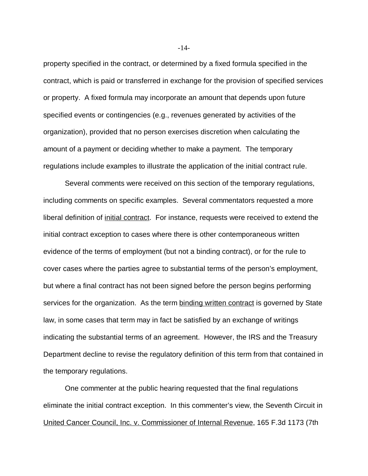property specified in the contract, or determined by a fixed formula specified in the contract, which is paid or transferred in exchange for the provision of specified services or property. A fixed formula may incorporate an amount that depends upon future specified events or contingencies (e.g., revenues generated by activities of the organization), provided that no person exercises discretion when calculating the amount of a payment or deciding whether to make a payment. The temporary regulations include examples to illustrate the application of the initial contract rule.

Several comments were received on this section of the temporary regulations, including comments on specific examples. Several commentators requested a more liberal definition of *initial contract*. For instance, requests were received to extend the initial contract exception to cases where there is other contemporaneous written evidence of the terms of employment (but not a binding contract), or for the rule to cover cases where the parties agree to substantial terms of the person's employment, but where a final contract has not been signed before the person begins performing services for the organization. As the term binding written contract is governed by State law, in some cases that term may in fact be satisfied by an exchange of writings indicating the substantial terms of an agreement. However, the IRS and the Treasury Department decline to revise the regulatory definition of this term from that contained in the temporary regulations.

One commenter at the public hearing requested that the final regulations eliminate the initial contract exception. In this commenter's view, the Seventh Circuit in United Cancer Council, Inc. v. Commissioner of Internal Revenue, 165 F.3d 1173 (7th

-14-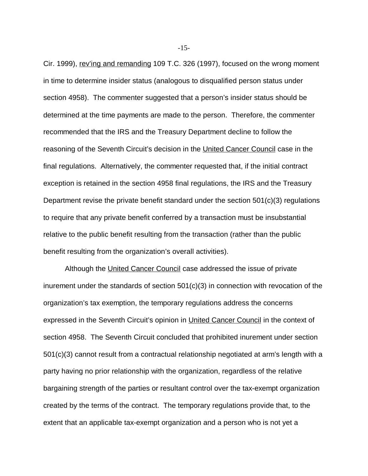Cir. 1999), rev'ing and remanding 109 T.C. 326 (1997), focused on the wrong moment in time to determine insider status (analogous to disqualified person status under section 4958). The commenter suggested that a person's insider status should be determined at the time payments are made to the person. Therefore, the commenter recommended that the IRS and the Treasury Department decline to follow the reasoning of the Seventh Circuit's decision in the United Cancer Council case in the final regulations. Alternatively, the commenter requested that, if the initial contract exception is retained in the section 4958 final regulations, the IRS and the Treasury Department revise the private benefit standard under the section 501(c)(3) regulations to require that any private benefit conferred by a transaction must be insubstantial relative to the public benefit resulting from the transaction (rather than the public benefit resulting from the organization's overall activities).

Although the United Cancer Council case addressed the issue of private inurement under the standards of section  $501(c)(3)$  in connection with revocation of the organization's tax exemption, the temporary regulations address the concerns expressed in the Seventh Circuit's opinion in United Cancer Council in the context of section 4958. The Seventh Circuit concluded that prohibited inurement under section 501(c)(3) cannot result from a contractual relationship negotiated at arm's length with a party having no prior relationship with the organization, regardless of the relative bargaining strength of the parties or resultant control over the tax-exempt organization created by the terms of the contract. The temporary regulations provide that, to the extent that an applicable tax-exempt organization and a person who is not yet a

-15-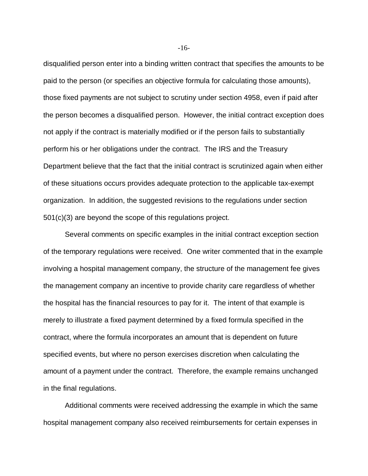disqualified person enter into a binding written contract that specifies the amounts to be paid to the person (or specifies an objective formula for calculating those amounts), those fixed payments are not subject to scrutiny under section 4958, even if paid after the person becomes a disqualified person. However, the initial contract exception does not apply if the contract is materially modified or if the person fails to substantially perform his or her obligations under the contract. The IRS and the Treasury Department believe that the fact that the initial contract is scrutinized again when either of these situations occurs provides adequate protection to the applicable tax-exempt organization. In addition, the suggested revisions to the regulations under section 501(c)(3) are beyond the scope of this regulations project.

Several comments on specific examples in the initial contract exception section of the temporary regulations were received. One writer commented that in the example involving a hospital management company, the structure of the management fee gives the management company an incentive to provide charity care regardless of whether the hospital has the financial resources to pay for it. The intent of that example is merely to illustrate a fixed payment determined by a fixed formula specified in the contract, where the formula incorporates an amount that is dependent on future specified events, but where no person exercises discretion when calculating the amount of a payment under the contract. Therefore, the example remains unchanged in the final regulations.

Additional comments were received addressing the example in which the same hospital management company also received reimbursements for certain expenses in

-16-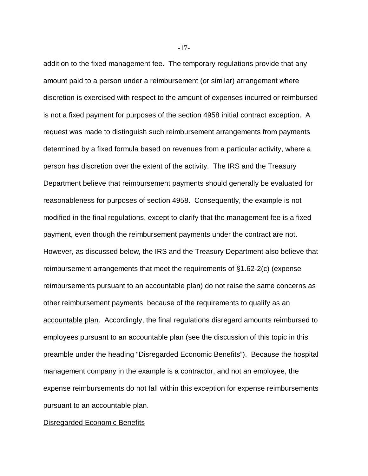addition to the fixed management fee. The temporary regulations provide that any amount paid to a person under a reimbursement (or similar) arrangement where discretion is exercised with respect to the amount of expenses incurred or reimbursed is not a fixed payment for purposes of the section 4958 initial contract exception. A request was made to distinguish such reimbursement arrangements from payments determined by a fixed formula based on revenues from a particular activity, where a person has discretion over the extent of the activity. The IRS and the Treasury Department believe that reimbursement payments should generally be evaluated for reasonableness for purposes of section 4958. Consequently, the example is not modified in the final regulations, except to clarify that the management fee is a fixed payment, even though the reimbursement payments under the contract are not. However, as discussed below, the IRS and the Treasury Department also believe that reimbursement arrangements that meet the requirements of §1.62-2(c) (expense reimbursements pursuant to an **accountable plan**) do not raise the same concerns as other reimbursement payments, because of the requirements to qualify as an accountable plan. Accordingly, the final regulations disregard amounts reimbursed to employees pursuant to an accountable plan (see the discussion of this topic in this preamble under the heading "Disregarded Economic Benefits"). Because the hospital management company in the example is a contractor, and not an employee, the expense reimbursements do not fall within this exception for expense reimbursements pursuant to an accountable plan.

Disregarded Economic Benefits

-17-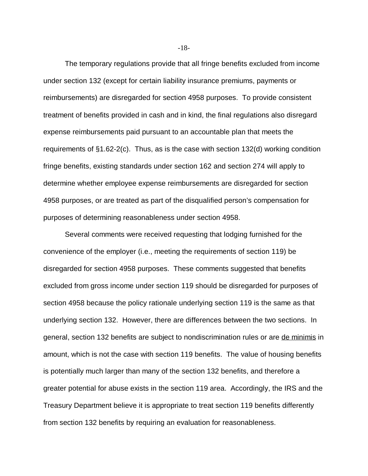The temporary regulations provide that all fringe benefits excluded from income under section 132 (except for certain liability insurance premiums, payments or reimbursements) are disregarded for section 4958 purposes. To provide consistent treatment of benefits provided in cash and in kind, the final regulations also disregard expense reimbursements paid pursuant to an accountable plan that meets the requirements of §1.62-2(c). Thus, as is the case with section 132(d) working condition fringe benefits, existing standards under section 162 and section 274 will apply to determine whether employee expense reimbursements are disregarded for section 4958 purposes, or are treated as part of the disqualified person's compensation for purposes of determining reasonableness under section 4958.

Several comments were received requesting that lodging furnished for the convenience of the employer (i.e., meeting the requirements of section 119) be disregarded for section 4958 purposes. These comments suggested that benefits excluded from gross income under section 119 should be disregarded for purposes of section 4958 because the policy rationale underlying section 119 is the same as that underlying section 132. However, there are differences between the two sections. In general, section 132 benefits are subject to nondiscrimination rules or are de minimis in amount, which is not the case with section 119 benefits. The value of housing benefits is potentially much larger than many of the section 132 benefits, and therefore a greater potential for abuse exists in the section 119 area. Accordingly, the IRS and the Treasury Department believe it is appropriate to treat section 119 benefits differently from section 132 benefits by requiring an evaluation for reasonableness.

-18-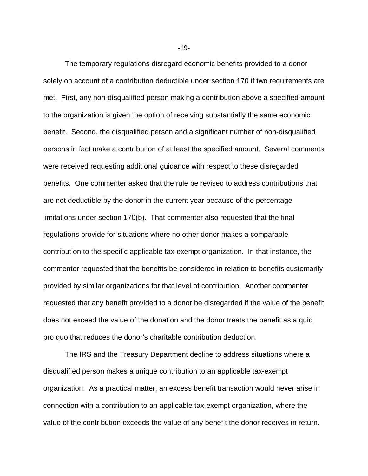The temporary regulations disregard economic benefits provided to a donor solely on account of a contribution deductible under section 170 if two requirements are met. First, any non-disqualified person making a contribution above a specified amount to the organization is given the option of receiving substantially the same economic benefit. Second, the disqualified person and a significant number of non-disqualified persons in fact make a contribution of at least the specified amount. Several comments were received requesting additional guidance with respect to these disregarded benefits. One commenter asked that the rule be revised to address contributions that are not deductible by the donor in the current year because of the percentage limitations under section 170(b). That commenter also requested that the final regulations provide for situations where no other donor makes a comparable contribution to the specific applicable tax-exempt organization. In that instance, the commenter requested that the benefits be considered in relation to benefits customarily provided by similar organizations for that level of contribution. Another commenter requested that any benefit provided to a donor be disregarded if the value of the benefit does not exceed the value of the donation and the donor treats the benefit as a quid pro quo that reduces the donor's charitable contribution deduction.

The IRS and the Treasury Department decline to address situations where a disqualified person makes a unique contribution to an applicable tax-exempt organization. As a practical matter, an excess benefit transaction would never arise in connection with a contribution to an applicable tax-exempt organization, where the value of the contribution exceeds the value of any benefit the donor receives in return.

-19-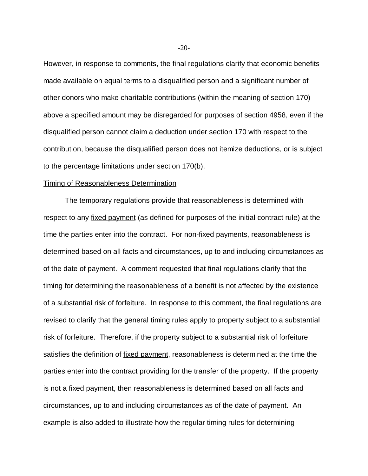However, in response to comments, the final regulations clarify that economic benefits made available on equal terms to a disqualified person and a significant number of other donors who make charitable contributions (within the meaning of section 170) above a specified amount may be disregarded for purposes of section 4958, even if the disqualified person cannot claim a deduction under section 170 with respect to the contribution, because the disqualified person does not itemize deductions, or is subject to the percentage limitations under section 170(b).

### Timing of Reasonableness Determination

The temporary regulations provide that reasonableness is determined with respect to any fixed payment (as defined for purposes of the initial contract rule) at the time the parties enter into the contract. For non-fixed payments, reasonableness is determined based on all facts and circumstances, up to and including circumstances as of the date of payment. A comment requested that final regulations clarify that the timing for determining the reasonableness of a benefit is not affected by the existence of a substantial risk of forfeiture. In response to this comment, the final regulations are revised to clarify that the general timing rules apply to property subject to a substantial risk of forfeiture. Therefore, if the property subject to a substantial risk of forfeiture satisfies the definition of fixed payment, reasonableness is determined at the time the parties enter into the contract providing for the transfer of the property. If the property is not a fixed payment, then reasonableness is determined based on all facts and circumstances, up to and including circumstances as of the date of payment. An example is also added to illustrate how the regular timing rules for determining

 $-20-$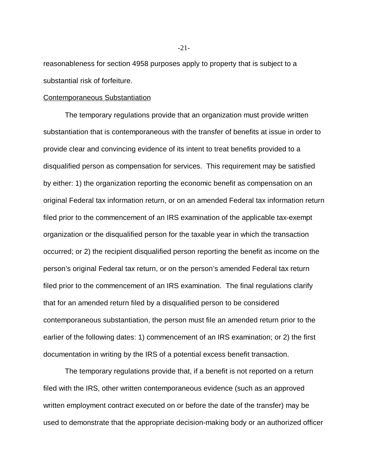reasonableness for section 4958 purposes apply to property that is subject to a substantial risk of forfeiture.

#### Contemporaneous Substantiation

The temporary regulations provide that an organization must provide written substantiation that is contemporaneous with the transfer of benefits at issue in order to provide clear and convincing evidence of its intent to treat benefits provided to a disqualified person as compensation for services. This requirement may be satisfied by either: 1) the organization reporting the economic benefit as compensation on an original Federal tax information return, or on an amended Federal tax information return filed prior to the commencement of an IRS examination of the applicable tax-exempt organization or the disqualified person for the taxable year in which the transaction occurred; or 2) the recipient disqualified person reporting the benefit as income on the person's original Federal tax return, or on the person's amended Federal tax return filed prior to the commencement of an IRS examination. The final regulations clarify that for an amended return filed by a disqualified person to be considered contemporaneous substantiation, the person must file an amended return prior to the earlier of the following dates: 1) commencement of an IRS examination; or 2) the first documentation in writing by the IRS of a potential excess benefit transaction.

The temporary regulations provide that, if a benefit is not reported on a return filed with the IRS, other written contemporaneous evidence (such as an approved written employment contract executed on or before the date of the transfer) may be used to demonstrate that the appropriate decision-making body or an authorized officer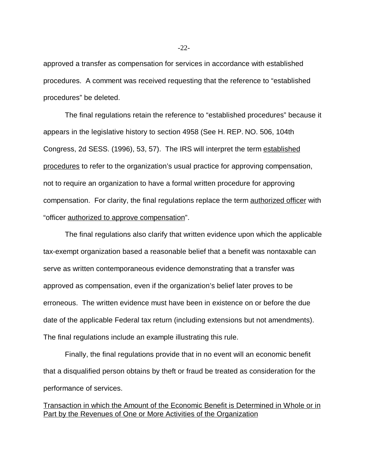approved a transfer as compensation for services in accordance with established procedures. A comment was received requesting that the reference to "established procedures" be deleted.

The final regulations retain the reference to "established procedures" because it appears in the legislative history to section 4958 (See H. REP. NO. 506, 104th Congress, 2d SESS. (1996), 53, 57). The IRS will interpret the term established procedures to refer to the organization's usual practice for approving compensation, not to require an organization to have a formal written procedure for approving compensation. For clarity, the final regulations replace the term authorized officer with "officer authorized to approve compensation".

The final regulations also clarify that written evidence upon which the applicable tax-exempt organization based a reasonable belief that a benefit was nontaxable can serve as written contemporaneous evidence demonstrating that a transfer was approved as compensation, even if the organization's belief later proves to be erroneous. The written evidence must have been in existence on or before the due date of the applicable Federal tax return (including extensions but not amendments). The final regulations include an example illustrating this rule.

Finally, the final regulations provide that in no event will an economic benefit that a disqualified person obtains by theft or fraud be treated as consideration for the performance of services.

Transaction in which the Amount of the Economic Benefit is Determined in Whole or in Part by the Revenues of One or More Activities of the Organization

-22-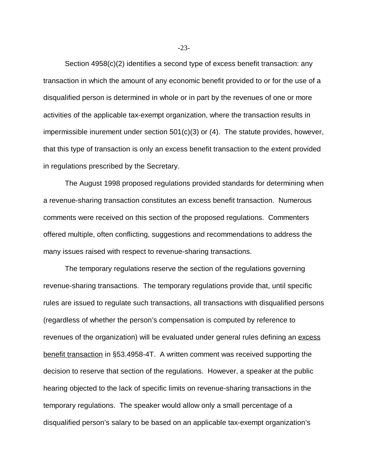Section 4958(c)(2) identifies a second type of excess benefit transaction: any transaction in which the amount of any economic benefit provided to or for the use of a disqualified person is determined in whole or in part by the revenues of one or more activities of the applicable tax-exempt organization, where the transaction results in impermissible inurement under section 501(c)(3) or (4). The statute provides, however, that this type of transaction is only an excess benefit transaction to the extent provided in regulations prescribed by the Secretary.

The August 1998 proposed regulations provided standards for determining when a revenue-sharing transaction constitutes an excess benefit transaction. Numerous comments were received on this section of the proposed regulations. Commenters offered multiple, often conflicting, suggestions and recommendations to address the many issues raised with respect to revenue-sharing transactions.

The temporary regulations reserve the section of the regulations governing revenue-sharing transactions. The temporary regulations provide that, until specific rules are issued to regulate such transactions, all transactions with disqualified persons (regardless of whether the person's compensation is computed by reference to revenues of the organization) will be evaluated under general rules defining an excess benefit transaction in §53.4958-4T. A written comment was received supporting the decision to reserve that section of the regulations. However, a speaker at the public hearing objected to the lack of specific limits on revenue-sharing transactions in the temporary regulations. The speaker would allow only a small percentage of a disqualified person's salary to be based on an applicable tax-exempt organization's

-23-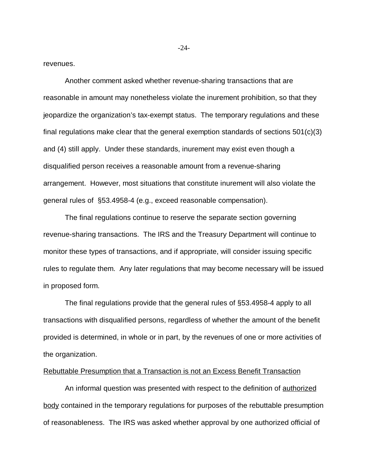revenues.

Another comment asked whether revenue-sharing transactions that are reasonable in amount may nonetheless violate the inurement prohibition, so that they jeopardize the organization's tax-exempt status. The temporary regulations and these final regulations make clear that the general exemption standards of sections 501(c)(3) and (4) still apply. Under these standards, inurement may exist even though a disqualified person receives a reasonable amount from a revenue-sharing arrangement. However, most situations that constitute inurement will also violate the general rules of §53.4958-4 (e.g., exceed reasonable compensation).

The final regulations continue to reserve the separate section governing revenue-sharing transactions. The IRS and the Treasury Department will continue to monitor these types of transactions, and if appropriate, will consider issuing specific rules to regulate them. Any later regulations that may become necessary will be issued in proposed form.

The final regulations provide that the general rules of §53.4958-4 apply to all transactions with disqualified persons, regardless of whether the amount of the benefit provided is determined, in whole or in part, by the revenues of one or more activities of the organization.

#### Rebuttable Presumption that a Transaction is not an Excess Benefit Transaction

An informal question was presented with respect to the definition of authorized body contained in the temporary regulations for purposes of the rebuttable presumption of reasonableness. The IRS was asked whether approval by one authorized official of

-24-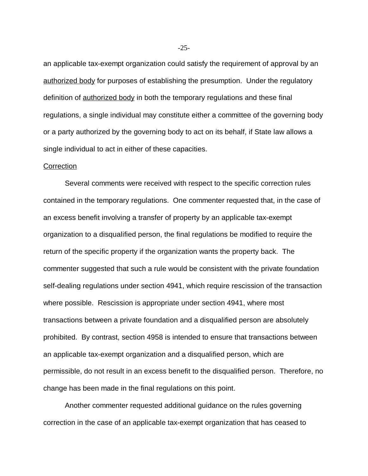an applicable tax-exempt organization could satisfy the requirement of approval by an authorized body for purposes of establishing the presumption. Under the regulatory definition of authorized body in both the temporary regulations and these final regulations, a single individual may constitute either a committee of the governing body or a party authorized by the governing body to act on its behalf, if State law allows a single individual to act in either of these capacities.

### **Correction**

Several comments were received with respect to the specific correction rules contained in the temporary regulations. One commenter requested that, in the case of an excess benefit involving a transfer of property by an applicable tax-exempt organization to a disqualified person, the final regulations be modified to require the return of the specific property if the organization wants the property back. The commenter suggested that such a rule would be consistent with the private foundation self-dealing regulations under section 4941, which require rescission of the transaction where possible. Rescission is appropriate under section 4941, where most transactions between a private foundation and a disqualified person are absolutely prohibited. By contrast, section 4958 is intended to ensure that transactions between an applicable tax-exempt organization and a disqualified person, which are permissible, do not result in an excess benefit to the disqualified person. Therefore, no change has been made in the final regulations on this point.

Another commenter requested additional guidance on the rules governing correction in the case of an applicable tax-exempt organization that has ceased to

-25-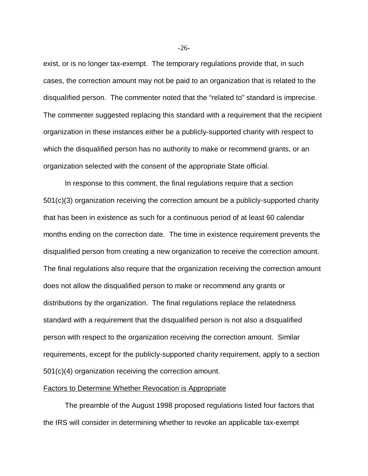exist, or is no longer tax-exempt. The temporary regulations provide that, in such cases, the correction amount may not be paid to an organization that is related to the disqualified person. The commenter noted that the "related to" standard is imprecise. The commenter suggested replacing this standard with a requirement that the recipient organization in these instances either be a publicly-supported charity with respect to which the disqualified person has no authority to make or recommend grants, or an organization selected with the consent of the appropriate State official.

In response to this comment, the final regulations require that a section 501(c)(3) organization receiving the correction amount be a publicly-supported charity that has been in existence as such for a continuous period of at least 60 calendar months ending on the correction date. The time in existence requirement prevents the disqualified person from creating a new organization to receive the correction amount. The final regulations also require that the organization receiving the correction amount does not allow the disqualified person to make or recommend any grants or distributions by the organization. The final regulations replace the relatedness standard with a requirement that the disqualified person is not also a disqualified person with respect to the organization receiving the correction amount. Similar requirements, except for the publicly-supported charity requirement, apply to a section 501(c)(4) organization receiving the correction amount.

### Factors to Determine Whether Revocation is Appropriate

The preamble of the August 1998 proposed regulations listed four factors that the IRS will consider in determining whether to revoke an applicable tax-exempt

-26-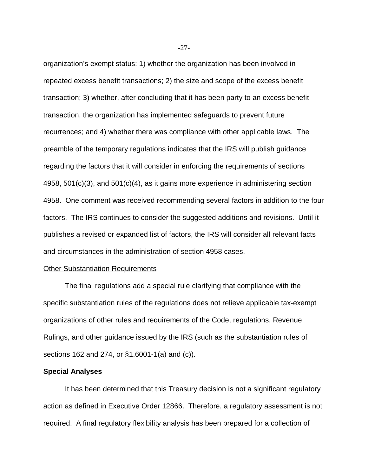organization's exempt status: 1) whether the organization has been involved in repeated excess benefit transactions; 2) the size and scope of the excess benefit transaction; 3) whether, after concluding that it has been party to an excess benefit transaction, the organization has implemented safeguards to prevent future recurrences; and 4) whether there was compliance with other applicable laws. The preamble of the temporary regulations indicates that the IRS will publish guidance regarding the factors that it will consider in enforcing the requirements of sections 4958, 501(c)(3), and 501(c)(4), as it gains more experience in administering section 4958. One comment was received recommending several factors in addition to the four factors. The IRS continues to consider the suggested additions and revisions. Until it publishes a revised or expanded list of factors, the IRS will consider all relevant facts and circumstances in the administration of section 4958 cases.

### **Other Substantiation Requirements**

The final regulations add a special rule clarifying that compliance with the specific substantiation rules of the regulations does not relieve applicable tax-exempt organizations of other rules and requirements of the Code, regulations, Revenue Rulings, and other guidance issued by the IRS (such as the substantiation rules of sections 162 and 274, or §1.6001-1(a) and (c)).

### **Special Analyses**

It has been determined that this Treasury decision is not a significant regulatory action as defined in Executive Order 12866. Therefore, a regulatory assessment is not required. A final regulatory flexibility analysis has been prepared for a collection of

-27-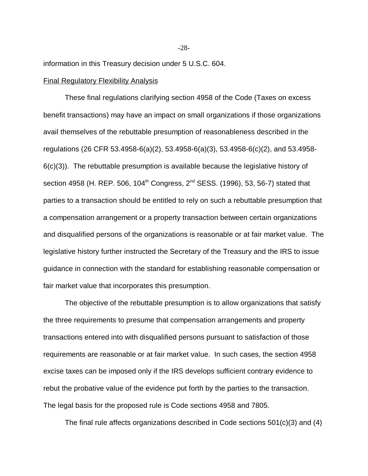information in this Treasury decision under 5 U.S.C. 604.

### Final Regulatory Flexibility Analysis

These final regulations clarifying section 4958 of the Code (Taxes on excess benefit transactions) may have an impact on small organizations if those organizations avail themselves of the rebuttable presumption of reasonableness described in the regulations (26 CFR 53.4958-6(a)(2), 53.4958-6(a)(3), 53.4958-6(c)(2), and 53.4958- 6(c)(3)). The rebuttable presumption is available because the legislative history of section 4958 (H. REP. 506, 104<sup>th</sup> Congress,  $2^{nd}$  SESS. (1996), 53, 56-7) stated that parties to a transaction should be entitled to rely on such a rebuttable presumption that a compensation arrangement or a property transaction between certain organizations and disqualified persons of the organizations is reasonable or at fair market value. The legislative history further instructed the Secretary of the Treasury and the IRS to issue guidance in connection with the standard for establishing reasonable compensation or fair market value that incorporates this presumption.

The objective of the rebuttable presumption is to allow organizations that satisfy the three requirements to presume that compensation arrangements and property transactions entered into with disqualified persons pursuant to satisfaction of those requirements are reasonable or at fair market value. In such cases, the section 4958 excise taxes can be imposed only if the IRS develops sufficient contrary evidence to rebut the probative value of the evidence put forth by the parties to the transaction. The legal basis for the proposed rule is Code sections 4958 and 7805.

The final rule affects organizations described in Code sections 501(c)(3) and (4)

-28-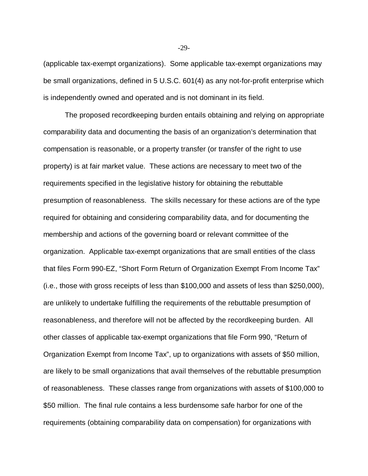(applicable tax-exempt organizations). Some applicable tax-exempt organizations may be small organizations, defined in 5 U.S.C. 601(4) as any not-for-profit enterprise which is independently owned and operated and is not dominant in its field.

The proposed recordkeeping burden entails obtaining and relying on appropriate comparability data and documenting the basis of an organization's determination that compensation is reasonable, or a property transfer (or transfer of the right to use property) is at fair market value. These actions are necessary to meet two of the requirements specified in the legislative history for obtaining the rebuttable presumption of reasonableness. The skills necessary for these actions are of the type required for obtaining and considering comparability data, and for documenting the membership and actions of the governing board or relevant committee of the organization. Applicable tax-exempt organizations that are small entities of the class that files Form 990-EZ, "Short Form Return of Organization Exempt From Income Tax" (i.e., those with gross receipts of less than \$100,000 and assets of less than \$250,000), are unlikely to undertake fulfilling the requirements of the rebuttable presumption of reasonableness, and therefore will not be affected by the recordkeeping burden. All other classes of applicable tax-exempt organizations that file Form 990, "Return of Organization Exempt from Income Tax", up to organizations with assets of \$50 million, are likely to be small organizations that avail themselves of the rebuttable presumption of reasonableness. These classes range from organizations with assets of \$100,000 to \$50 million. The final rule contains a less burdensome safe harbor for one of the requirements (obtaining comparability data on compensation) for organizations with

-29-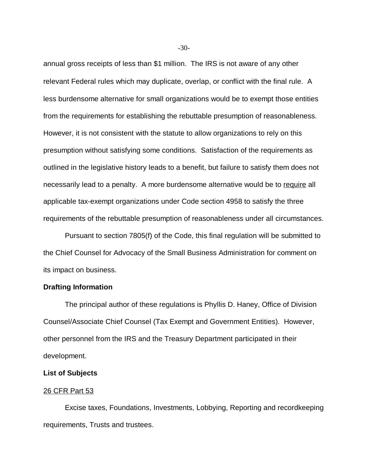annual gross receipts of less than \$1 million.The IRS is not aware of any other relevant Federal rules which may duplicate, overlap, or conflict with the final rule.A less burdensome alternative for small organizations would be to exempt those entities from the requirements for establishing the rebuttable presumption of reasonableness. However, it is not consistent with the statute to allow organizations to rely on this presumption without satisfying some conditions. Satisfaction of the requirements as outlined in the legislative history leads to a benefit, but failure to satisfy them does not necessarily lead to a penalty. A more burdensome alternative would be to require all applicable tax-exempt organizations under Code section 4958 to satisfy the three requirements of the rebuttable presumption of reasonableness under all circumstances.

Pursuant to section 7805(f) of the Code, this final regulation will be submitted to the Chief Counsel for Advocacy of the Small Business Administration for comment on its impact on business.

# **Drafting Information**

The principal author of these regulations is Phyllis D. Haney, Office of Division Counsel/Associate Chief Counsel (Tax Exempt and Government Entities). However, other personnel from the IRS and the Treasury Department participated in their development.

### **List of Subjects**

### 26 CFR Part 53

Excise taxes, Foundations, Investments, Lobbying, Reporting and recordkeeping requirements, Trusts and trustees.

-30-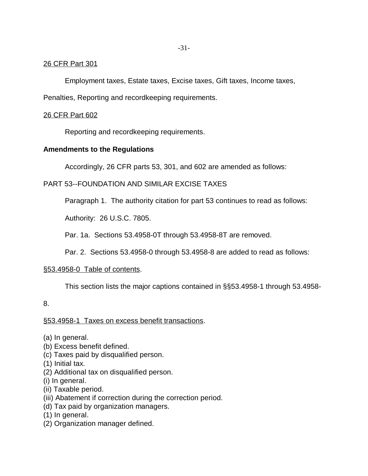## 26 CFR Part 301

Employment taxes, Estate taxes, Excise taxes, Gift taxes, Income taxes,

Penalties, Reporting and recordkeeping requirements.

## 26 CFR Part 602

Reporting and recordkeeping requirements.

## **Amendments to the Regulations**

Accordingly, 26 CFR parts 53, 301, and 602 are amended as follows:

# PART 53--FOUNDATION AND SIMILAR EXCISE TAXES

Paragraph 1. The authority citation for part 53 continues to read as follows:

Authority: 26 U.S.C. 7805.

Par. 1a. Sections 53.4958-0T through 53.4958-8T are removed.

Par. 2. Sections 53.4958-0 through 53.4958-8 are added to read as follows:

### §53.4958-0 Table of contents.

This section lists the major captions contained in §§53.4958-1 through 53.4958-

# 8.

### §53.4958-1 Taxes on excess benefit transactions.

- (a) In general.
- (b) Excess benefit defined.
- (c) Taxes paid by disqualified person.
- (1) Initial tax.
- (2) Additional tax on disqualified person.
- (i) In general.
- (ii) Taxable period.
- (iii) Abatement if correction during the correction period.
- (d) Tax paid by organization managers.
- (1) In general.
- (2) Organization manager defined.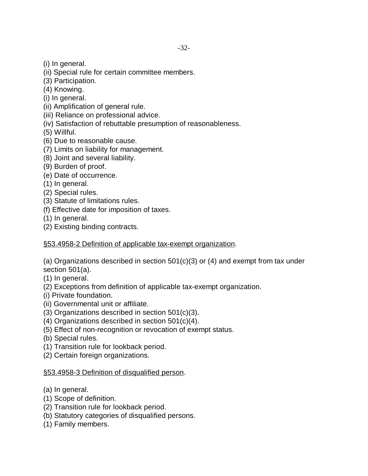- (i) In general.
- (ii) Special rule for certain committee members.
- (3) Participation.
- (4) Knowing.
- (i) In general.
- (ii) Amplification of general rule.
- (iii) Reliance on professional advice.
- (iv) Satisfaction of rebuttable presumption of reasonableness.

(5) Willful.

- (6) Due to reasonable cause.
- (7) Limits on liability for management.
- (8) Joint and several liability.
- (9) Burden of proof.
- (e) Date of occurrence.
- (1) In general.
- (2) Special rules.
- (3) Statute of limitations rules.
- (f) Effective date for imposition of taxes.
- (1) In general.
- (2) Existing binding contracts.

# §53.4958-2 Definition of applicable tax-exempt organization.

(a) Organizations described in section 501(c)(3) or (4) and exempt from tax under section 501(a).

- (1) In general.
- (2) Exceptions from definition of applicable tax-exempt organization.
- (i) Private foundation.
- (ii) Governmental unit or affiliate.
- (3) Organizations described in section 501(c)(3).
- (4) Organizations described in section 501(c)(4).
- (5) Effect of non-recognition or revocation of exempt status.
- (b) Special rules.
- (1) Transition rule for lookback period.
- (2) Certain foreign organizations.

# §53.4958-3 Definition of disqualified person.

- (a) In general.
- (1) Scope of definition.
- (2) Transition rule for lookback period.
- (b) Statutory categories of disqualified persons.
- (1) Family members.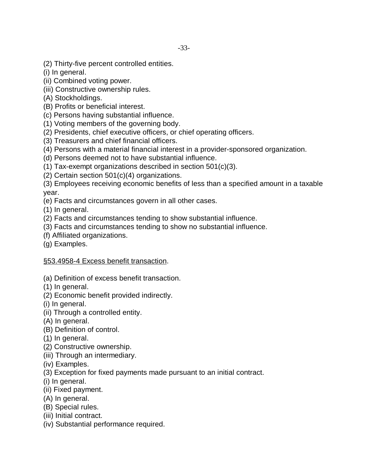- (2) Thirty-five percent controlled entities.
- (i) In general.
- (ii) Combined voting power.
- (iii) Constructive ownership rules.
- (A) Stockholdings.
- (B) Profits or beneficial interest.
- (c) Persons having substantial influence.
- (1) Voting members of the governing body.
- (2) Presidents, chief executive officers, or chief operating officers.
- (3) Treasurers and chief financial officers.
- (4) Persons with a material financial interest in a provider-sponsored organization.
- (d) Persons deemed not to have substantial influence.
- (1) Tax-exempt organizations described in section 501(c)(3).
- (2) Certain section 501(c)(4) organizations.

(3) Employees receiving economic benefits of less than a specified amount in a taxable year.

- (e) Facts and circumstances govern in all other cases.
- (1) In general.
- (2) Facts and circumstances tending to show substantial influence.
- (3) Facts and circumstances tending to show no substantial influence.
- (f) Affiliated organizations.
- (g) Examples.

# §53.4958-4 Excess benefit transaction.

- (a) Definition of excess benefit transaction.
- (1) In general.
- (2) Economic benefit provided indirectly.
- (i) In general.
- (ii) Through a controlled entity.
- (A) In general.
- (B) Definition of control.
- $(1)$  In general.
- (2) Constructive ownership.
- (iii) Through an intermediary.
- (iv) Examples.
- (3) Exception for fixed payments made pursuant to an initial contract.
- (i) In general.
- (ii) Fixed payment.
- (A) In general.
- (B) Special rules.
- (iii) Initial contract.
- (iv) Substantial performance required.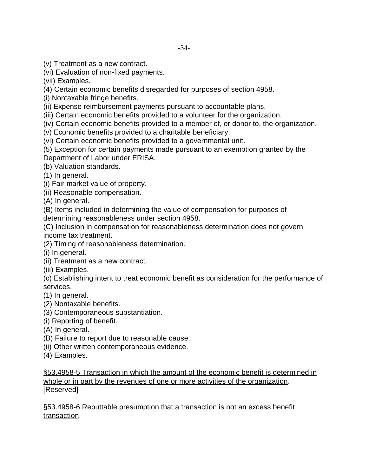(v) Treatment as a new contract.

(vi) Evaluation of non-fixed payments.

(vii) Examples.

(4) Certain economic benefits disregarded for purposes of section 4958.

(i) Nontaxable fringe benefits.

(ii) Expense reimbursement payments pursuant to accountable plans.

(iii) Certain economic benefits provided to a volunteer for the organization.

(iv) Certain economic benefits provided to a member of, or donor to, the organization.

(v) Economic benefits provided to a charitable beneficiary.

(vi) Certain economic benefits provided to a governmental unit.

(5) Exception for certain payments made pursuant to an exemption granted by the Department of Labor under ERISA.

(b) Valuation standards.

(1) In general.

(i) Fair market value of property.

(ii) Reasonable compensation.

(A) In general.

(B) Items included in determining the value of compensation for purposes of determining reasonableness under section 4958.

(C) Inclusion in compensation for reasonableness determination does not govern income tax treatment.

(2) Timing of reasonableness determination.

(i) In general.

(ii) Treatment as a new contract.

(iii) Examples.

(c) Establishing intent to treat economic benefit as consideration for the performance of services.

- (1) In general.
- (2) Nontaxable benefits.
- (3) Contemporaneous substantiation.

(i) Reporting of benefit.

- (A) In general.
- (B) Failure to report due to reasonable cause.
- (ii) Other written contemporaneous evidence.
- (4) Examples.

§53.4958-5 Transaction in which the amount of the economic benefit is determined in whole or in part by the revenues of one or more activities of the organization. [Reserved]

§53.4958-6 Rebuttable presumption that a transaction is not an excess benefit transaction.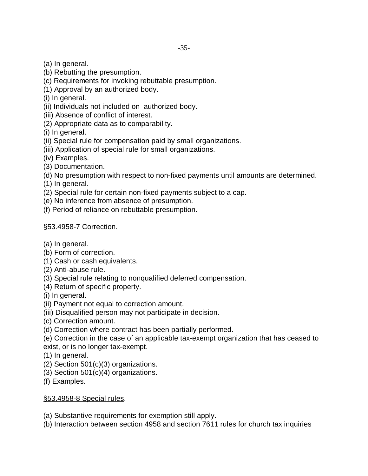(a) In general.

- (b) Rebutting the presumption.
- (c) Requirements for invoking rebuttable presumption.
- (1) Approval by an authorized body.
- (i) In general.
- (ii) Individuals not included on authorized body.
- (iii) Absence of conflict of interest.
- (2) Appropriate data as to comparability.

(i) In general.

- (ii) Special rule for compensation paid by small organizations.
- (iii) Application of special rule for small organizations.
- (iv) Examples.
- (3) Documentation.
- (d) No presumption with respect to non-fixed payments until amounts are determined.
- (1) In general.
- (2) Special rule for certain non-fixed payments subject to a cap.
- (e) No inference from absence of presumption.
- (f) Period of reliance on rebuttable presumption.

# §53.4958-7 Correction.

- (a) In general.
- (b) Form of correction.
- (1) Cash or cash equivalents.
- (2) Anti-abuse rule.
- (3) Special rule relating to nonqualified deferred compensation.
- (4) Return of specific property.
- (i) In general.
- (ii) Payment not equal to correction amount.
- (iii) Disqualified person may not participate in decision.
- (c) Correction amount.
- (d) Correction where contract has been partially performed.
- (e) Correction in the case of an applicable tax-exempt organization that has ceased to exist, or is no longer tax-exempt.
- (1) In general.
- (2) Section 501(c)(3) organizations.
- (3) Section 501(c)(4) organizations.
- (f) Examples.

# §53.4958-8 Special rules.

- (a) Substantive requirements for exemption still apply.
- (b) Interaction between section 4958 and section 7611 rules for church tax inquiries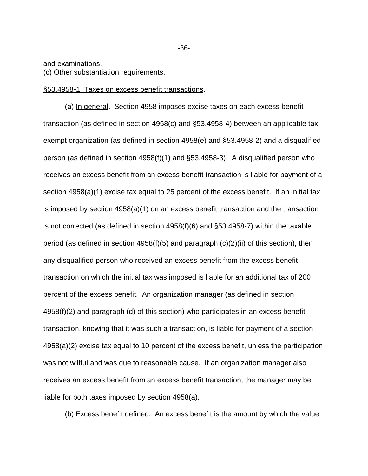and examinations.

(c) Other substantiation requirements.

§53.4958-1 Taxes on excess benefit transactions.

(a) In general. Section 4958 imposes excise taxes on each excess benefit transaction (as defined in section 4958(c) and §53.4958-4) between an applicable taxexempt organization (as defined in section 4958(e) and §53.4958-2) and a disqualified person (as defined in section 4958(f)(1) and §53.4958-3). A disqualified person who receives an excess benefit from an excess benefit transaction is liable for payment of a section 4958(a)(1) excise tax equal to 25 percent of the excess benefit. If an initial tax is imposed by section 4958(a)(1) on an excess benefit transaction and the transaction is not corrected (as defined in section 4958(f)(6) and §53.4958-7) within the taxable period (as defined in section 4958(f)(5) and paragraph (c)(2)(ii) of this section), then any disqualified person who received an excess benefit from the excess benefit transaction on which the initial tax was imposed is liable for an additional tax of 200 percent of the excess benefit. An organization manager (as defined in section 4958(f)(2) and paragraph (d) of this section) who participates in an excess benefit transaction, knowing that it was such a transaction, is liable for payment of a section 4958(a)(2) excise tax equal to 10 percent of the excess benefit, unless the participation was not willful and was due to reasonable cause. If an organization manager also receives an excess benefit from an excess benefit transaction, the manager may be liable for both taxes imposed by section 4958(a).

(b) Excess benefit defined. An excess benefit is the amount by which the value

-36-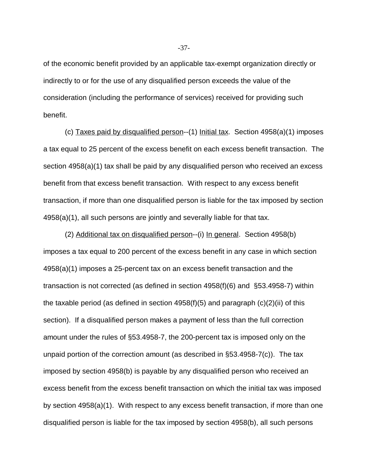of the economic benefit provided by an applicable tax-exempt organization directly or indirectly to or for the use of any disqualified person exceeds the value of the consideration (including the performance of services) received for providing such benefit.

(c) Taxes paid by disqualified person--(1) Initial tax. Section 4958(a)(1) imposes a tax equal to 25 percent of the excess benefit on each excess benefit transaction. The section 4958(a)(1) tax shall be paid by any disqualified person who received an excess benefit from that excess benefit transaction. With respect to any excess benefit transaction, if more than one disqualified person is liable for the tax imposed by section 4958(a)(1), all such persons are jointly and severally liable for that tax.

(2) Additional tax on disqualified person--(i) In general. Section 4958(b) imposes a tax equal to 200 percent of the excess benefit in any case in which section 4958(a)(1) imposes a 25-percent tax on an excess benefit transaction and the transaction is not corrected (as defined in section 4958(f)(6) and §53.4958-7) within the taxable period (as defined in section  $4958(f)(5)$  and paragraph  $(c)(2)(ii)$  of this section). If a disqualified person makes a payment of less than the full correction amount under the rules of §53.4958-7, the 200-percent tax is imposed only on the unpaid portion of the correction amount (as described in §53.4958-7(c)). The tax imposed by section 4958(b) is payable by any disqualified person who received an excess benefit from the excess benefit transaction on which the initial tax was imposed by section 4958(a)(1). With respect to any excess benefit transaction, if more than one disqualified person is liable for the tax imposed by section 4958(b), all such persons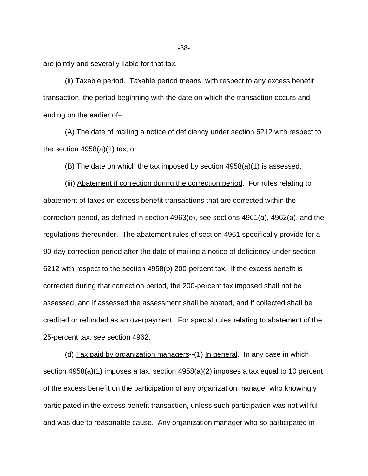are jointly and severally liable for that tax.

(ii) Taxable period. Taxable period means, with respect to any excess benefit transaction, the period beginning with the date on which the transaction occurs and ending on the earlier of–

(A) The date of mailing a notice of deficiency under section 6212 with respect to the section 4958(a)(1) tax; or

(B) The date on which the tax imposed by section 4958(a)(1) is assessed.

(iii) Abatement if correction during the correction period. For rules relating to abatement of taxes on excess benefit transactions that are corrected within the correction period, as defined in section 4963(e), see sections 4961(a), 4962(a), and the regulations thereunder. The abatement rules of section 4961 specifically provide for a 90-day correction period after the date of mailing a notice of deficiency under section 6212 with respect to the section 4958(b) 200-percent tax. If the excess benefit is corrected during that correction period, the 200-percent tax imposed shall not be assessed, and if assessed the assessment shall be abated, and if collected shall be credited or refunded as an overpayment. For special rules relating to abatement of the 25-percent tax, see section 4962.

(d) Tax paid by organization managers--(1) In general. In any case in which section 4958(a)(1) imposes a tax, section 4958(a)(2) imposes a tax equal to 10 percent of the excess benefit on the participation of any organization manager who knowingly participated in the excess benefit transaction, unless such participation was not willful and was due to reasonable cause. Any organization manager who so participated in

-38-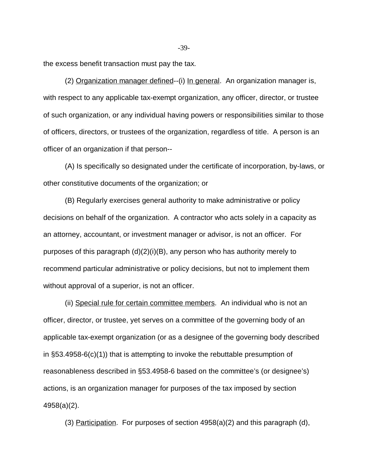the excess benefit transaction must pay the tax.

(2) Organization manager defined--(i) In general. An organization manager is, with respect to any applicable tax-exempt organization, any officer, director, or trustee of such organization, or any individual having powers or responsibilities similar to those of officers, directors, or trustees of the organization, regardless of title. A person is an officer of an organization if that person--

(A) Is specifically so designated under the certificate of incorporation, by-laws, or other constitutive documents of the organization; or

(B) Regularly exercises general authority to make administrative or policy decisions on behalf of the organization. A contractor who acts solely in a capacity as an attorney, accountant, or investment manager or advisor, is not an officer. For purposes of this paragraph (d)(2)(i)(B), any person who has authority merely to recommend particular administrative or policy decisions, but not to implement them without approval of a superior, is not an officer.

(ii) Special rule for certain committee members. An individual who is not an officer, director, or trustee, yet serves on a committee of the governing body of an applicable tax-exempt organization (or as a designee of the governing body described in §53.4958-6(c)(1)) that is attempting to invoke the rebuttable presumption of reasonableness described in §53.4958-6 based on the committee's (or designee's) actions, is an organization manager for purposes of the tax imposed by section 4958(a)(2).

(3) Participation. For purposes of section 4958(a)(2) and this paragraph (d),

-39-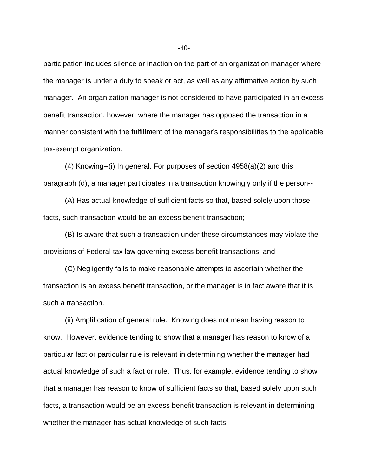participation includes silence or inaction on the part of an organization manager where the manager is under a duty to speak or act, as well as any affirmative action by such manager. An organization manager is not considered to have participated in an excess benefit transaction, however, where the manager has opposed the transaction in a manner consistent with the fulfillment of the manager's responsibilities to the applicable tax-exempt organization.

(4) Knowing--(i) In general. For purposes of section 4958(a)(2) and this paragraph (d), a manager participates in a transaction knowingly only if the person--

(A) Has actual knowledge of sufficient facts so that, based solely upon those facts, such transaction would be an excess benefit transaction;

(B) Is aware that such a transaction under these circumstances may violate the provisions of Federal tax law governing excess benefit transactions; and

(C) Negligently fails to make reasonable attempts to ascertain whether the transaction is an excess benefit transaction, or the manager is in fact aware that it is such a transaction.

(ii) Amplification of general rule. Knowing does not mean having reason to know. However, evidence tending to show that a manager has reason to know of a particular fact or particular rule is relevant in determining whether the manager had actual knowledge of such a fact or rule. Thus, for example, evidence tending to show that a manager has reason to know of sufficient facts so that, based solely upon such facts, a transaction would be an excess benefit transaction is relevant in determining whether the manager has actual knowledge of such facts.

 $-40-$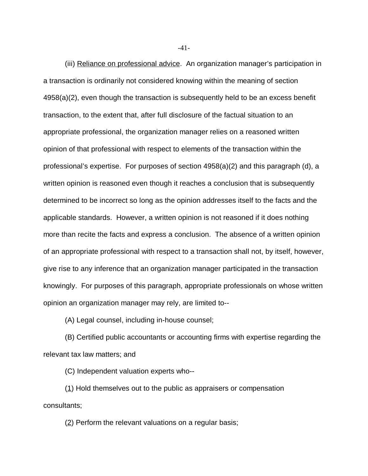(iii) Reliance on professional advice. An organization manager's participation in a transaction is ordinarily not considered knowing within the meaning of section 4958(a)(2), even though the transaction is subsequently held to be an excess benefit transaction, to the extent that, after full disclosure of the factual situation to an appropriate professional, the organization manager relies on a reasoned written opinion of that professional with respect to elements of the transaction within the professional's expertise. For purposes of section 4958(a)(2) and this paragraph (d), a written opinion is reasoned even though it reaches a conclusion that is subsequently determined to be incorrect so long as the opinion addresses itself to the facts and the applicable standards. However, a written opinion is not reasoned if it does nothing more than recite the facts and express a conclusion. The absence of a written opinion of an appropriate professional with respect to a transaction shall not, by itself, however, give rise to any inference that an organization manager participated in the transaction knowingly. For purposes of this paragraph, appropriate professionals on whose written opinion an organization manager may rely, are limited to--

(A) Legal counsel, including in-house counsel;

(B) Certified public accountants or accounting firms with expertise regarding the relevant tax law matters; and

(C) Independent valuation experts who--

(1) Hold themselves out to the public as appraisers or compensation consultants;

 $(2)$  Perform the relevant valuations on a regular basis;

-41-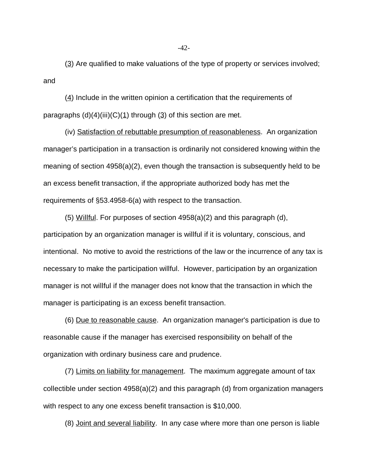(3) Are qualified to make valuations of the type of property or services involved; and

 $(4)$  Include in the written opinion a certification that the requirements of paragraphs  $(d)(4)(iii)(C)(1)$  through  $(3)$  of this section are met.

(iv) Satisfaction of rebuttable presumption of reasonableness. An organization manager's participation in a transaction is ordinarily not considered knowing within the meaning of section 4958(a)(2), even though the transaction is subsequently held to be an excess benefit transaction, if the appropriate authorized body has met the requirements of §53.4958-6(a) with respect to the transaction.

(5) Willful. For purposes of section 4958(a)(2) and this paragraph (d), participation by an organization manager is willful if it is voluntary, conscious, and intentional. No motive to avoid the restrictions of the law or the incurrence of any tax is necessary to make the participation willful. However, participation by an organization manager is not willful if the manager does not know that the transaction in which the manager is participating is an excess benefit transaction.

(6) Due to reasonable cause. An organization manager's participation is due to reasonable cause if the manager has exercised responsibility on behalf of the organization with ordinary business care and prudence.

(7) Limits on liability for management. The maximum aggregate amount of tax collectible under section 4958(a)(2) and this paragraph (d) from organization managers with respect to any one excess benefit transaction is \$10,000.

(8) Joint and several liability. In any case where more than one person is liable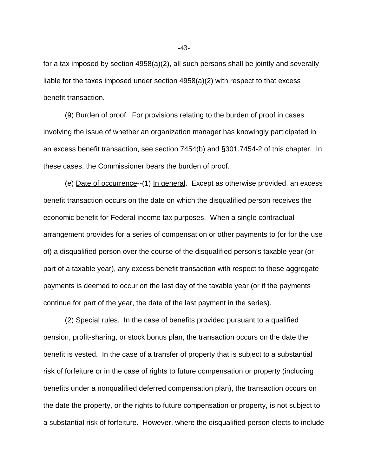for a tax imposed by section 4958(a)(2), all such persons shall be jointly and severally liable for the taxes imposed under section 4958(a)(2) with respect to that excess benefit transaction.

(9) Burden of proof. For provisions relating to the burden of proof in cases involving the issue of whether an organization manager has knowingly participated in an excess benefit transaction, see section 7454(b) and §301.7454-2 of this chapter. In these cases, the Commissioner bears the burden of proof.

(e) Date of occurrence--(1) In general. Except as otherwise provided, an excess benefit transaction occurs on the date on which the disqualified person receives the economic benefit for Federal income tax purposes. When a single contractual arrangement provides for a series of compensation or other payments to (or for the use of) a disqualified person over the course of the disqualified person's taxable year (or part of a taxable year), any excess benefit transaction with respect to these aggregate payments is deemed to occur on the last day of the taxable year (or if the payments continue for part of the year, the date of the last payment in the series).

(2) Special rules. In the case of benefits provided pursuant to a qualified pension, profit-sharing, or stock bonus plan, the transaction occurs on the date the benefit is vested. In the case of a transfer of property that is subject to a substantial risk of forfeiture or in the case of rights to future compensation or property (including benefits under a nonqualified deferred compensation plan), the transaction occurs on the date the property, or the rights to future compensation or property, is not subject to a substantial risk of forfeiture. However, where the disqualified person elects to include

-43-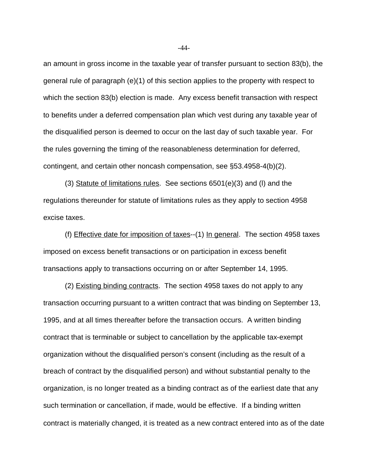an amount in gross income in the taxable year of transfer pursuant to section 83(b), the general rule of paragraph (e)(1) of this section applies to the property with respect to which the section 83(b) election is made. Any excess benefit transaction with respect to benefits under a deferred compensation plan which vest during any taxable year of the disqualified person is deemed to occur on the last day of such taxable year. For the rules governing the timing of the reasonableness determination for deferred, contingent, and certain other noncash compensation, see §53.4958-4(b)(2).

(3) Statute of limitations rules. See sections 6501(e)(3) and (l) and the regulations thereunder for statute of limitations rules as they apply to section 4958 excise taxes.

(f) Effective date for imposition of taxes--(1) In general. The section 4958 taxes imposed on excess benefit transactions or on participation in excess benefit transactions apply to transactions occurring on or after September 14, 1995.

(2) Existing binding contracts. The section 4958 taxes do not apply to any transaction occurring pursuant to a written contract that was binding on September 13, 1995, and at all times thereafter before the transaction occurs. A written binding contract that is terminable or subject to cancellation by the applicable tax-exempt organization without the disqualified person's consent (including as the result of a breach of contract by the disqualified person) and without substantial penalty to the organization, is no longer treated as a binding contract as of the earliest date that any such termination or cancellation, if made, would be effective.If a binding written contract is materially changed, it is treated as a new contract entered into as of the date

-44-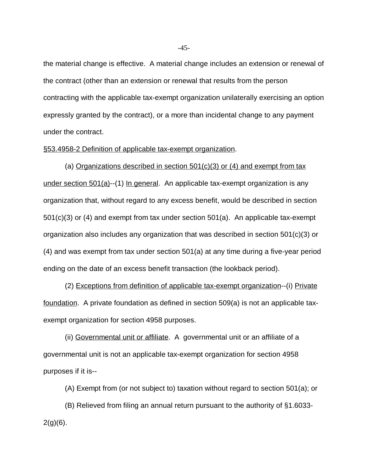the material change is effective. A material change includes an extension or renewal of the contract (other than an extension or renewal that results from the person contracting with the applicable tax-exempt organization unilaterally exercising an option expressly granted by the contract), or a more than incidental change to any payment under the contract.

## §53.4958-2 Definition of applicable tax-exempt organization.

(a) Organizations described in section 501(c)(3) or (4) and exempt from tax under section 501(a)--(1) In general. An applicable tax-exempt organization is any organization that, without regard to any excess benefit, would be described in section 501(c)(3) or (4) and exempt from tax under section 501(a). An applicable tax-exempt organization also includes any organization that was described in section 501(c)(3) or (4) and was exempt from tax under section 501(a) at any time during a five-year period ending on the date of an excess benefit transaction (the lookback period).

(2) Exceptions from definition of applicable tax-exempt organization--(i) Private foundation. A private foundation as defined in section 509(a) is not an applicable taxexempt organization for section 4958 purposes.

(ii) Governmental unit or affiliate. A governmental unit or an affiliate of a governmental unit is not an applicable tax-exempt organization for section 4958 purposes if it is--

(A) Exempt from (or not subject to) taxation without regard to section 501(a); or

(B) Relieved from filing an annual return pursuant to the authority of §1.6033-  $2(g)(6)$ .

-45-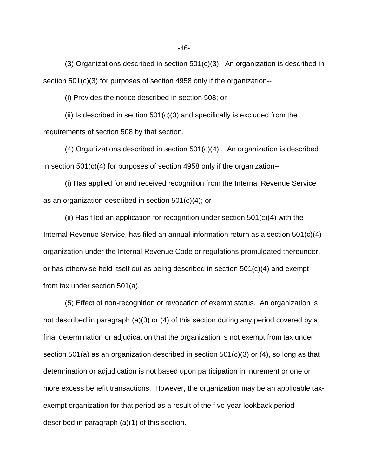(3) Organizations described in section 501(c)(3). An organization is described in section 501(c)(3) for purposes of section 4958 only if the organization--

(i) Provides the notice described in section 508; or

(ii) Is described in section  $501(c)(3)$  and specifically is excluded from the requirements of section 508 by that section.

(4) Organizations described in section 501(c)(4) . An organization is described in section 501(c)(4) for purposes of section 4958 only if the organization--

(i) Has applied for and received recognition from the Internal Revenue Service as an organization described in section 501(c)(4); or

(ii) Has filed an application for recognition under section  $501(c)(4)$  with the Internal Revenue Service, has filed an annual information return as a section 501(c)(4) organization under the Internal Revenue Code or regulations promulgated thereunder, or has otherwise held itself out as being described in section 501(c)(4) and exempt from tax under section 501(a).

(5) Effect of non-recognition or revocation of exempt status. An organization is not described in paragraph (a)(3) or (4) of this section during any period covered by a final determination or adjudication that the organization is not exempt from tax under section 501(a) as an organization described in section 501(c)(3) or (4), so long as that determination or adjudication is not based upon participation in inurement or one or more excess benefit transactions. However, the organization may be an applicable taxexempt organization for that period as a result of the five-year lookback period described in paragraph (a)(1) of this section.

-46-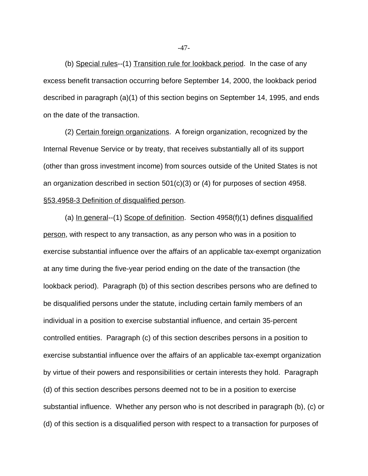(b) Special rules--(1) Transition rule for lookback period. In the case of any excess benefit transaction occurring before September 14, 2000, the lookback period described in paragraph (a)(1) of this section begins on September 14, 1995, and ends on the date of the transaction.

(2) Certain foreign organizations. A foreign organization, recognized by the Internal Revenue Service or by treaty, that receives substantially all of its support (other than gross investment income) from sources outside of the United States is not an organization described in section 501(c)(3) or (4) for purposes of section 4958. §53.4958-3 Definition of disqualified person.

(a) In general--(1) Scope of definition. Section  $4958(f)(1)$  defines disqualified person, with respect to any transaction, as any person who was in a position to exercise substantial influence over the affairs of an applicable tax-exempt organization at any time during the five-year period ending on the date of the transaction (the lookback period). Paragraph (b) of this section describes persons who are defined to be disqualified persons under the statute, including certain family members of an individual in a position to exercise substantial influence, and certain 35-percent controlled entities. Paragraph (c) of this section describes persons in a position to exercise substantial influence over the affairs of an applicable tax-exempt organization by virtue of their powers and responsibilities or certain interests they hold. Paragraph (d) of this section describes persons deemed not to be in a position to exercise substantial influence. Whether any person who is not described in paragraph (b), (c) or (d) of this section is a disqualified person with respect to a transaction for purposes of

-47-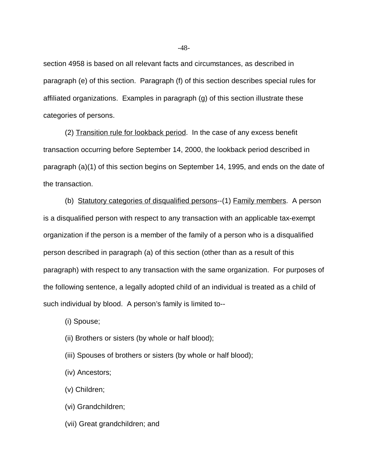section 4958 is based on all relevant facts and circumstances, as described in paragraph (e) of this section. Paragraph (f) of this section describes special rules for affiliated organizations. Examples in paragraph (g) of this section illustrate these categories of persons.

(2) Transition rule for lookback period. In the case of any excess benefit transaction occurring before September 14, 2000, the lookback period described in paragraph (a)(1) of this section begins on September 14, 1995, and ends on the date of the transaction.

(b) Statutory categories of disqualified persons--(1) Family members. A person is a disqualified person with respect to any transaction with an applicable tax-exempt organization if the person is a member of the family of a person who is a disqualified person described in paragraph (a) of this section (other than as a result of this paragraph) with respect to any transaction with the same organization. For purposes of the following sentence, a legally adopted child of an individual is treated as a child of such individual by blood. A person's family is limited to--

(i) Spouse;

- (ii) Brothers or sisters (by whole or half blood);
- (iii) Spouses of brothers or sisters (by whole or half blood);
- (iv) Ancestors;
- (v) Children;
- (vi) Grandchildren;
- (vii) Great grandchildren; and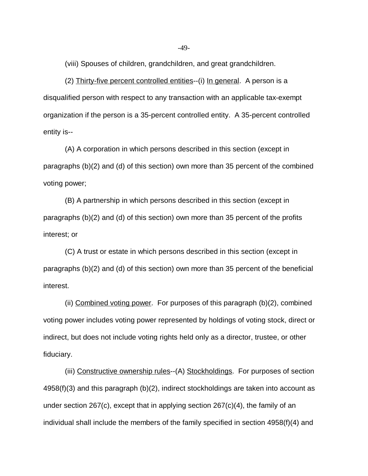(viii) Spouses of children, grandchildren, and great grandchildren.

(2) Thirty-five percent controlled entities--(i) In general. A person is a disqualified person with respect to any transaction with an applicable tax-exempt organization if the person is a 35-percent controlled entity. A 35-percent controlled entity is--

(A) A corporation in which persons described in this section (except in paragraphs (b)(2) and (d) of this section) own more than 35 percent of the combined voting power;

(B) A partnership in which persons described in this section (except in paragraphs (b)(2) and (d) of this section) own more than 35 percent of the profits interest; or

(C) A trust or estate in which persons described in this section (except in paragraphs (b)(2) and (d) of this section) own more than 35 percent of the beneficial interest.

(ii) Combined voting power. For purposes of this paragraph (b)(2), combined voting power includes voting power represented by holdings of voting stock, direct or indirect, but does not include voting rights held only as a director, trustee, or other fiduciary.

 (iii) Constructive ownership rules--(A) Stockholdings. For purposes of section 4958(f)(3) and this paragraph (b)(2), indirect stockholdings are taken into account as under section 267(c), except that in applying section 267(c)(4), the family of an individual shall include the members of the family specified in section 4958(f)(4) and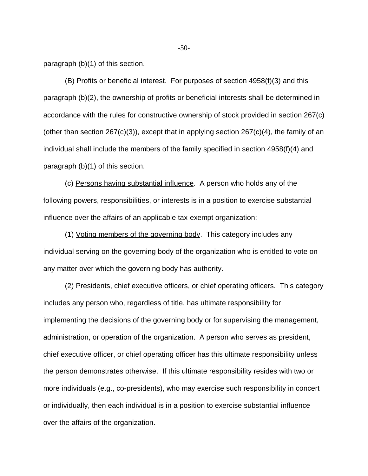paragraph (b)(1) of this section.

(B) Profits or beneficial interest. For purposes of section 4958(f)(3) and this paragraph (b)(2), the ownership of profits or beneficial interests shall be determined in accordance with the rules for constructive ownership of stock provided in section 267(c) (other than section  $267(c)(3)$ ), except that in applying section  $267(c)(4)$ , the family of an individual shall include the members of the family specified in section 4958(f)(4) and paragraph (b)(1) of this section.

(c) Persons having substantial influence. A person who holds any of the following powers, responsibilities, or interests is in a position to exercise substantial influence over the affairs of an applicable tax-exempt organization:

(1) Voting members of the governing body. This category includes any individual serving on the governing body of the organization who is entitled to vote on any matter over which the governing body has authority.

(2) Presidents, chief executive officers, or chief operating officers. This category includes any person who, regardless of title, has ultimate responsibility for implementing the decisions of the governing body or for supervising the management, administration, or operation of the organization. A person who serves as president, chief executive officer, or chief operating officer has this ultimate responsibility unless the person demonstrates otherwise. If this ultimate responsibility resides with two or more individuals (e.g., co-presidents), who may exercise such responsibility in concert or individually, then each individual is in a position to exercise substantial influence over the affairs of the organization.

 $-50-$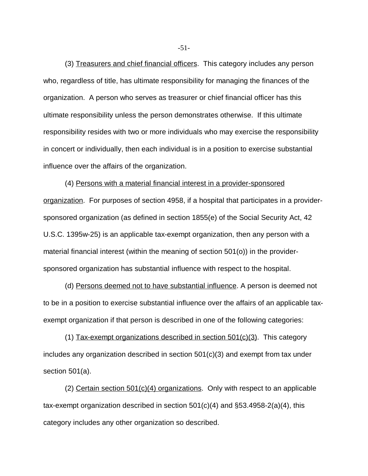(3) Treasurers and chief financial officers. This category includes any person who, regardless of title, has ultimate responsibility for managing the finances of the organization. A person who serves as treasurer or chief financial officer has this ultimate responsibility unless the person demonstrates otherwise. If this ultimate responsibility resides with two or more individuals who may exercise the responsibility in concert or individually, then each individual is in a position to exercise substantial influence over the affairs of the organization.

(4) Persons with a material financial interest in a provider-sponsored organization. For purposes of section 4958, if a hospital that participates in a providersponsored organization (as defined in section 1855(e) of the Social Security Act, 42 U.S.C. 1395w-25) is an applicable tax-exempt organization, then any person with a material financial interest (within the meaning of section 501(o)) in the providersponsored organization has substantial influence with respect to the hospital.

(d) Persons deemed not to have substantial influence. A person is deemed not to be in a position to exercise substantial influence over the affairs of an applicable taxexempt organization if that person is described in one of the following categories:

(1) Tax-exempt organizations described in section 501(c)(3). This category includes any organization described in section 501(c)(3) and exempt from tax under section 501(a).

(2) Certain section 501(c)(4) organizations. Only with respect to an applicable tax-exempt organization described in section  $501(c)(4)$  and  $\S53.4958-2(a)(4)$ , this category includes any other organization so described.

-51-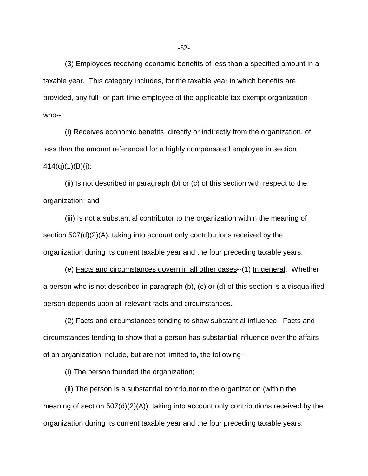(3) Employees receiving economic benefits of less than a specified amount in a taxable year. This category includes, for the taxable year in which benefits are provided, any full- or part-time employee of the applicable tax-exempt organization who--

(i) Receives economic benefits, directly or indirectly from the organization, of less than the amount referenced for a highly compensated employee in section  $414(q)(1)(B)(i)$ ;

(ii) Is not described in paragraph (b) or (c) of this section with respect to the organization; and

(iii) Is not a substantial contributor to the organization within the meaning of section 507(d)(2)(A), taking into account only contributions received by the organization during its current taxable year and the four preceding taxable years.

(e) Facts and circumstances govern in all other cases--(1) In general. Whether a person who is not described in paragraph (b), (c) or (d) of this section is a disqualified person depends upon all relevant facts and circumstances.

(2) Facts and circumstances tending to show substantial influence. Facts and circumstances tending to show that a person has substantial influence over the affairs of an organization include, but are not limited to, the following--

(i) The person founded the organization;

(ii) The person is a substantial contributor to the organization (within the meaning of section 507(d)(2)(A)), taking into account only contributions received by the organization during its current taxable year and the four preceding taxable years;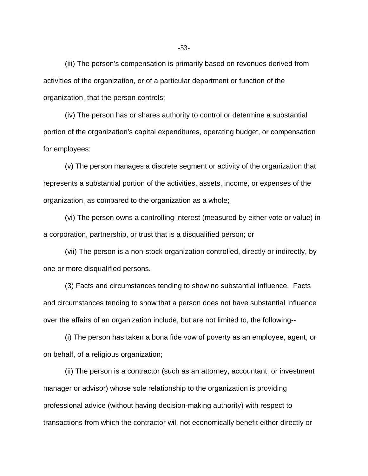(iii) The person's compensation is primarily based on revenues derived from activities of the organization, or of a particular department or function of the organization, that the person controls;

(iv) The person has or shares authority to control or determine a substantial portion of the organization's capital expenditures, operating budget, or compensation for employees;

(v) The person manages a discrete segment or activity of the organization that represents a substantial portion of the activities, assets, income, or expenses of the organization, as compared to the organization as a whole;

(vi) The person owns a controlling interest (measured by either vote or value) in a corporation, partnership, or trust that is a disqualified person; or

(vii) The person is a non-stock organization controlled, directly or indirectly, by one or more disqualified persons.

(3) Facts and circumstances tending to show no substantial influence. Facts and circumstances tending to show that a person does not have substantial influence over the affairs of an organization include, but are not limited to, the following--

(i) The person has taken a bona fide vow of poverty as an employee, agent, or on behalf, of a religious organization;

(ii) The person is a contractor (such as an attorney, accountant, or investment manager or advisor) whose sole relationship to the organization is providing professional advice (without having decision-making authority) with respect to transactions from which the contractor will not economically benefit either directly or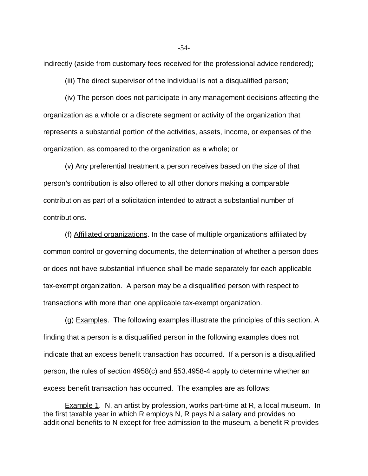indirectly (aside from customary fees received for the professional advice rendered);

(iii) The direct supervisor of the individual is not a disqualified person;

(iv) The person does not participate in any management decisions affecting the organization as a whole or a discrete segment or activity of the organization that represents a substantial portion of the activities, assets, income, or expenses of the organization, as compared to the organization as a whole; or

(v) Any preferential treatment a person receives based on the size of that person's contribution is also offered to all other donors making a comparable contribution as part of a solicitation intended to attract a substantial number of contributions.

(f) Affiliated organizations. In the case of multiple organizations affiliated by common control or governing documents, the determination of whether a person does or does not have substantial influence shall be made separately for each applicable tax-exempt organization. A person may be a disqualified person with respect to transactions with more than one applicable tax-exempt organization.

(g) Examples. The following examples illustrate the principles of this section. A finding that a person is a disqualified person in the following examples does not indicate that an excess benefit transaction has occurred. If a person is a disqualified person, the rules of section 4958(c) and §53.4958-4 apply to determine whether an excess benefit transaction has occurred. The examples are as follows:

**Example 1.** N, an artist by profession, works part-time at R, a local museum. In the first taxable year in which R employs N, R pays N a salary and provides no additional benefits to N except for free admission to the museum, a benefit R provides

-54-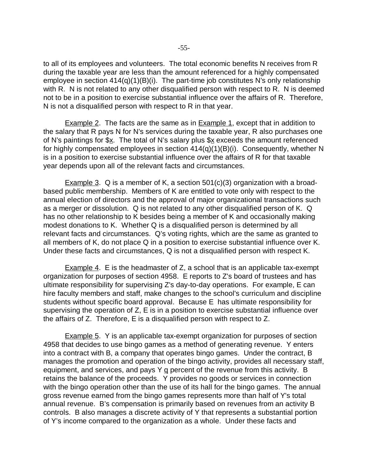to all of its employees and volunteers. The total economic benefits N receives from R during the taxable year are less than the amount referenced for a highly compensated employee in section  $414(q)(1)(B)(i)$ . The part-time job constitutes N's only relationship with R. N is not related to any other disqualified person with respect to R. N is deemed not to be in a position to exercise substantial influence over the affairs of R. Therefore, N is not a disqualified person with respect to R in that year.

Example 2. The facts are the same as in Example 1, except that in addition to the salary that R pays N for N's services during the taxable year, R also purchases one of N's paintings for  $x$ . The total of N's salary plus  $x \in \mathbb{R}$  exceeds the amount referenced for highly compensated employees in section 414(q)(1)(B)(i). Consequently, whether N is in a position to exercise substantial influence over the affairs of R for that taxable year depends upon all of the relevant facts and circumstances.

Example 3. Q is a member of K, a section  $501(c)(3)$  organization with a broadbased public membership. Members of K are entitled to vote only with respect to the annual election of directors and the approval of major organizational transactions such as a merger or dissolution. Q is not related to any other disqualified person of K. Q has no other relationship to K besides being a member of K and occasionally making modest donations to K. Whether Q is a disqualified person is determined by all relevant facts and circumstances. Q's voting rights, which are the same as granted to all members of K, do not place Q in a position to exercise substantial influence over K. Under these facts and circumstances, Q is not a disqualified person with respect K.

Example 4. E is the headmaster of Z, a school that is an applicable tax-exempt organization for purposes of section 4958. E reports to Z's board of trustees and has ultimate responsibility for supervising Z's day-to-day operations. For example, E can hire faculty members and staff, make changes to the school's curriculum and discipline students without specific board approval. Because E has ultimate responsibility for supervising the operation of Z, E is in a position to exercise substantial influence over the affairs of Z. Therefore, E is a disqualified person with respect to Z.

Example 5. Y is an applicable tax-exempt organization for purposes of section 4958 that decides to use bingo games as a method of generating revenue. Y enters into a contract with B, a company that operates bingo games. Under the contract, B manages the promotion and operation of the bingo activity, provides all necessary staff, equipment, and services, and pays  $Y$   $q$  percent of the revenue from this activity. B retains the balance of the proceeds. Y provides no goods or services in connection with the bingo operation other than the use of its hall for the bingo games. The annual gross revenue earned from the bingo games represents more than half of Y's total annual revenue. B's compensation is primarily based on revenues from an activity B controls. B also manages a discrete activity of Y that represents a substantial portion of Y's income compared to the organization as a whole. Under these facts and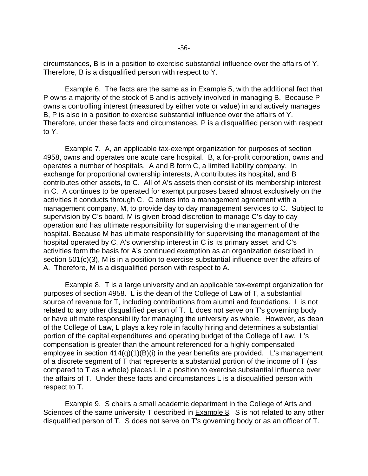circumstances, B is in a position to exercise substantial influence over the affairs of Y. Therefore, B is a disqualified person with respect to Y.

**Example 6.** The facts are the same as in **Example 5**, with the additional fact that P owns a majority of the stock of B and is actively involved in managing B. Because P owns a controlling interest (measured by either vote or value) in and actively manages B, P is also in a position to exercise substantial influence over the affairs of Y. Therefore, under these facts and circumstances, P is a disqualified person with respect to Y.

Example 7. A, an applicable tax-exempt organization for purposes of section 4958, owns and operates one acute care hospital. B, a for-profit corporation, owns and operates a number of hospitals. A and B form C, a limited liability company. In exchange for proportional ownership interests, A contributes its hospital, and B contributes other assets, to C. All of A's assets then consist of its membership interest in C. A continues to be operated for exempt purposes based almost exclusively on the activities it conducts through C. C enters into a management agreement with a management company, M, to provide day to day management services to C. Subject to supervision by C's board, M is given broad discretion to manage C's day to day operation and has ultimate responsibility for supervising the management of the hospital. Because M has ultimate responsibility for supervising the management of the hospital operated by C, A's ownership interest in C is its primary asset, and C's activities form the basis for A's continued exemption as an organization described in section 501(c)(3), M is in a position to exercise substantial influence over the affairs of A. Therefore, M is a disqualified person with respect to A.

Example 8. T is a large university and an applicable tax-exempt organization for purposes of section 4958. L is the dean of the College of Law of T, a substantial source of revenue for T, including contributions from alumni and foundations. L is not related to any other disqualified person of T. L does not serve on T's governing body or have ultimate responsibility for managing the university as whole. However, as dean of the College of Law, L plays a key role in faculty hiring and determines a substantial portion of the capital expenditures and operating budget of the College of Law. L's compensation is greater than the amount referenced for a highly compensated employee in section 414(q)(1)(B)(i) in the year benefits are provided. L's management of a discrete segment of T that represents a substantial portion of the income of T (as compared to T as a whole) places L in a position to exercise substantial influence over the affairs of T. Under these facts and circumstances L is a disqualified person with respect to T.

Example 9. S chairs a small academic department in the College of Arts and Sciences of the same university T described in **Example 8.** S is not related to any other disqualified person of T. S does not serve on T's governing body or as an officer of T.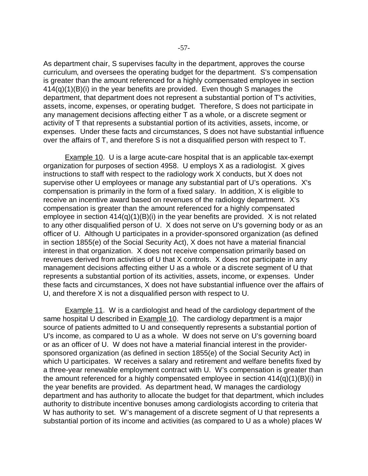As department chair, S supervises faculty in the department, approves the course curriculum, and oversees the operating budget for the department. S's compensation is greater than the amount referenced for a highly compensated employee in section 414(q)(1)(B)(i) in the year benefits are provided. Even though S manages the department, that department does not represent a substantial portion of T's activities, assets, income, expenses, or operating budget. Therefore, S does not participate in any management decisions affecting either T as a whole, or a discrete segment or activity of T that represents a substantial portion of its activities, assets, income, or expenses. Under these facts and circumstances, S does not have substantial influence over the affairs of T, and therefore S is not a disqualified person with respect to T.

Example 10. U is a large acute-care hospital that is an applicable tax-exempt organization for purposes of section 4958. U employs X as a radiologist. X gives instructions to staff with respect to the radiology work X conducts, but X does not supervise other U employees or manage any substantial part of U's operations. X's compensation is primarily in the form of a fixed salary. In addition, X is eligible to receive an incentive award based on revenues of the radiology department. X's compensation is greater than the amount referenced for a highly compensated employee in section  $414(q)(1)(B)(i)$  in the year benefits are provided. X is not related to any other disqualified person of U. X does not serve on U's governing body or as an officer of U. Although U participates in a provider-sponsored organization (as defined in section 1855(e) of the Social Security Act), X does not have a material financial interest in that organization. X does not receive compensation primarily based on revenues derived from activities of U that X controls. X does not participate in any management decisions affecting either U as a whole or a discrete segment of U that represents a substantial portion of its activities, assets, income, or expenses. Under these facts and circumstances, X does not have substantial influence over the affairs of U, and therefore X is not a disqualified person with respect to U.

**Example 11.** W is a cardiologist and head of the cardiology department of the same hospital U described in **Example 10**. The cardiology department is a major source of patients admitted to U and consequently represents a substantial portion of U's income, as compared to U as a whole. W does not serve on U's governing board or as an officer of U. W does not have a material financial interest in the providersponsored organization (as defined in section 1855(e) of the Social Security Act) in which U participates. W receives a salary and retirement and welfare benefits fixed by a three-year renewable employment contract with U. W's compensation is greater than the amount referenced for a highly compensated employee in section 414(q)(1)(B)(i) in the year benefits are provided. As department head, W manages the cardiology department and has authority to allocate the budget for that department, which includes authority to distribute incentive bonuses among cardiologists according to criteria that W has authority to set. W's management of a discrete segment of U that represents a substantial portion of its income and activities (as compared to U as a whole) places W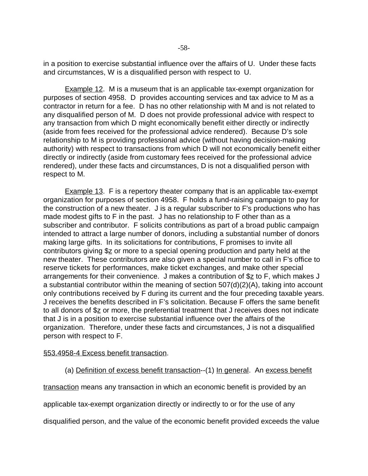in a position to exercise substantial influence over the affairs of U. Under these facts and circumstances, W is a disqualified person with respect to U.

**Example 12.** M is a museum that is an applicable tax-exempt organization for purposes of section 4958. D provides accounting services and tax advice to M as a contractor in return for a fee. D has no other relationship with M and is not related to any disqualified person of M. D does not provide professional advice with respect to any transaction from which D might economically benefit either directly or indirectly (aside from fees received for the professional advice rendered). Because D's sole relationship to M is providing professional advice (without having decision-making authority) with respect to transactions from which D will not economically benefit either directly or indirectly (aside from customary fees received for the professional advice rendered), under these facts and circumstances, D is not a disqualified person with respect to M.

Example 13. F is a repertory theater company that is an applicable tax-exempt organization for purposes of section 4958. F holds a fund-raising campaign to pay for the construction of a new theater. J is a regular subscriber to F's productions who has made modest gifts to F in the past. J has no relationship to F other than as a subscriber and contributor. F solicits contributions as part of a broad public campaign intended to attract a large number of donors, including a substantial number of donors making large gifts. In its solicitations for contributions, F promises to invite all contributors giving  $\S_2$  or more to a special opening production and party held at the new theater. These contributors are also given a special number to call in F's office to reserve tickets for performances, make ticket exchanges, and make other special arrangements for their convenience. J makes a contribution of  $\S$ <sup>z</sup> to F, which makes J a substantial contributor within the meaning of section 507(d)(2)(A), taking into account only contributions received by F during its current and the four preceding taxable years. J receives the benefits described in F's solicitation. Because F offers the same benefit to all donors of \$z or more, the preferential treatment that J receives does not indicate that J is in a position to exercise substantial influence over the affairs of the organization. Therefore, under these facts and circumstances, J is not a disqualified person with respect to F.

## §53.4958-4 Excess benefit transaction.

(a) Definition of excess benefit transaction--(1) In general. An excess benefit

transaction means any transaction in which an economic benefit is provided by an

applicable tax-exempt organization directly or indirectly to or for the use of any

disqualified person, and the value of the economic benefit provided exceeds the value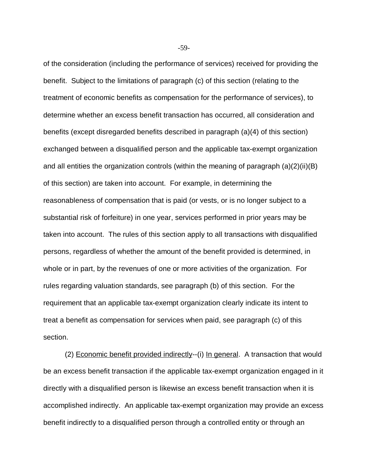of the consideration (including the performance of services) received for providing the benefit. Subject to the limitations of paragraph (c) of this section (relating to the treatment of economic benefits as compensation for the performance of services), to determine whether an excess benefit transaction has occurred, all consideration and benefits (except disregarded benefits described in paragraph (a)(4) of this section) exchanged between a disqualified person and the applicable tax-exempt organization and all entities the organization controls (within the meaning of paragraph (a)(2)(ii)(B) of this section) are taken into account. For example, in determining the reasonableness of compensation that is paid (or vests, or is no longer subject to a substantial risk of forfeiture) in one year, services performed in prior years may be taken into account. The rules of this section apply to all transactions with disqualified persons, regardless of whether the amount of the benefit provided is determined, in whole or in part, by the revenues of one or more activities of the organization. For rules regarding valuation standards, see paragraph (b) of this section. For the requirement that an applicable tax-exempt organization clearly indicate its intent to treat a benefit as compensation for services when paid, see paragraph (c) of this section.

(2) Economic benefit provided indirectly--(i) In general. A transaction that would be an excess benefit transaction if the applicable tax-exempt organization engaged in it directly with a disqualified person is likewise an excess benefit transaction when it is accomplished indirectly. An applicable tax-exempt organization may provide an excess benefit indirectly to a disqualified person through a controlled entity or through an

-59-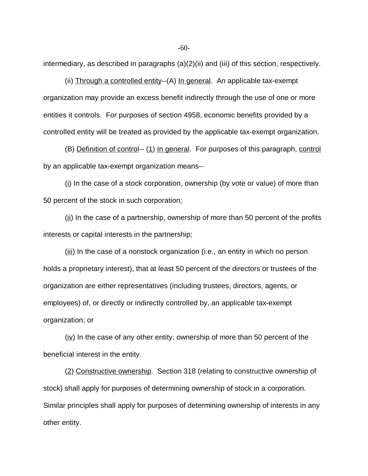intermediary, as described in paragraphs (a)(2)(ii) and (iii) of this section, respectively.

(ii) Through a controlled entity--(A) In general. An applicable tax-exempt organization may provide an excess benefit indirectly through the use of one or more entities it controls. For purposes of section 4958, economic benefits provided by a controlled entity will be treated as provided by the applicable tax-exempt organization.

(B) Definition of control-- (1) In general. For purposes of this paragraph, control by an applicable tax-exempt organization means--

(i) In the case of a stock corporation, ownership (by vote or value) of more than 50 percent of the stock in such corporation;

 $(i)$  In the case of a partnership, ownership of more than 50 percent of the profits interests or capital interests in the partnership;

 $(iii)$  In the case of a nonstock organization (i.e., an entity in which no person holds a proprietary interest), that at least 50 percent of the directors or trustees of the organization are either representatives (including trustees, directors, agents, or employees) of, or directly or indirectly controlled by, an applicable tax-exempt organization; or

 $(iv)$  In the case of any other entity, ownership of more than 50 percent of the beneficial interest in the entity.

(2) Constructive ownership. Section 318 (relating to constructive ownership of stock) shall apply for purposes of determining ownership of stock in a corporation. Similar principles shall apply for purposes of determining ownership of interests in any other entity.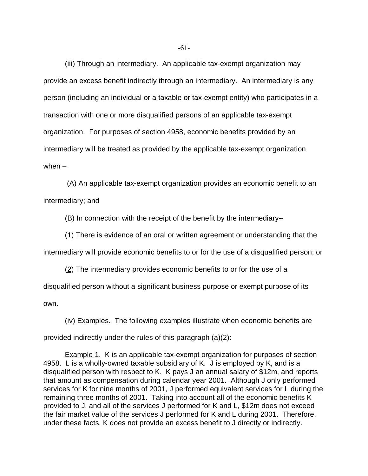(iii) Through an intermediary. An applicable tax-exempt organization may provide an excess benefit indirectly through an intermediary. An intermediary is any person (including an individual or a taxable or tax-exempt entity) who participates in a transaction with one or more disqualified persons of an applicable tax-exempt organization. For purposes of section 4958, economic benefits provided by an intermediary will be treated as provided by the applicable tax-exempt organization when –

(A) An applicable tax-exempt organization provides an economic benefit to an intermediary; and

(B) In connection with the receipt of the benefit by the intermediary--

(1) There is evidence of an oral or written agreement or understanding that the

intermediary will provide economic benefits to or for the use of a disqualified person; or

 $(2)$  The intermediary provides economic benefits to or for the use of a disqualified person without a significant business purpose or exempt purpose of its own.

(iv) Examples. The following examples illustrate when economic benefits are provided indirectly under the rules of this paragraph (a)(2):

Example 1. K is an applicable tax-exempt organization for purposes of section 4958. L is a wholly-owned taxable subsidiary of K. J is employed by K, and is a disqualified person with respect to K. K pays J an annual salary of \$12m, and reports that amount as compensation during calendar year 2001. Although J only performed services for K for nine months of 2001, J performed equivalent services for L during the remaining three months of 2001. Taking into account all of the economic benefits K provided to J, and all of the services J performed for K and L, \$12m does not exceed the fair market value of the services J performed for K and L during 2001. Therefore, under these facts, K does not provide an excess benefit to J directly or indirectly.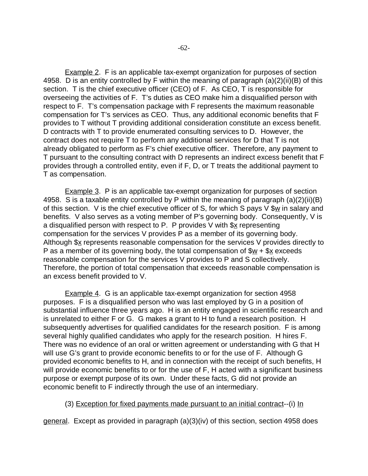**Example 2.** F is an applicable tax-exempt organization for purposes of section 4958. D is an entity controlled by F within the meaning of paragraph (a)(2)(ii)(B) of this section. T is the chief executive officer (CEO) of F. As CEO, T is responsible for overseeing the activities of F. T's duties as CEO make him a disqualified person with respect to F. T's compensation package with F represents the maximum reasonable compensation for T's services as CEO. Thus, any additional economic benefits that F provides to T without T providing additional consideration constitute an excess benefit. D contracts with T to provide enumerated consulting services to D. However, the contract does not require T to perform any additional services for D that T is not already obligated to perform as F's chief executive officer. Therefore, any payment to T pursuant to the consulting contract with D represents an indirect excess benefit that F provides through a controlled entity, even if F, D, or T treats the additional payment to T as compensation.

Example 3. P is an applicable tax-exempt organization for purposes of section 4958. S is a taxable entity controlled by P within the meaning of paragraph (a)(2)(ii)(B) of this section. V is the chief executive officer of S, for which S pays V  $\frac{w}{w}$  in salary and benefits. V also serves as a voting member of P's governing body. Consequently, V is a disqualified person with respect to P. P provides V with  $s_{x}$  representing compensation for the services V provides P as a member of its governing body. Although \$x represents reasonable compensation for the services V provides directly to P as a member of its governing body, the total compensation of  $\frac{6w}{x} + \frac{6x}{x}$  exceeds reasonable compensation for the services V provides to P and S collectively. Therefore, the portion of total compensation that exceeds reasonable compensation is an excess benefit provided to V.

**Example 4.** G is an applicable tax-exempt organization for section 4958 purposes. F is a disqualified person who was last employed by G in a position of substantial influence three years ago. H is an entity engaged in scientific research and is unrelated to either F or G. G makes a grant to H to fund a research position. H subsequently advertises for qualified candidates for the research position. F is among several highly qualified candidates who apply for the research position. H hires F. There was no evidence of an oral or written agreement or understanding with G that H will use G's grant to provide economic benefits to or for the use of F. Although G provided economic benefits to H, and in connection with the receipt of such benefits, H will provide economic benefits to or for the use of F, H acted with a significant business purpose or exempt purpose of its own. Under these facts, G did not provide an economic benefit to F indirectly through the use of an intermediary.

## (3) Exception for fixed payments made pursuant to an initial contract--(i) In

general. Except as provided in paragraph (a)(3)(iv) of this section, section 4958 does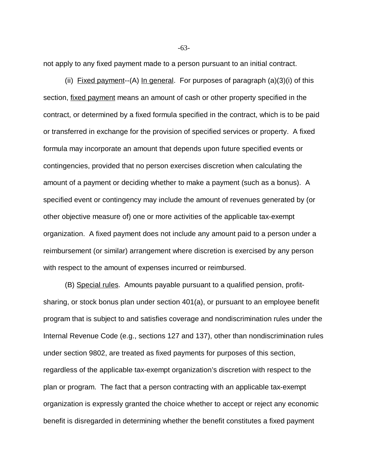not apply to any fixed payment made to a person pursuant to an initial contract.

(ii) Fixed payment--(A) In general. For purposes of paragraph  $(a)(3)(i)$  of this section, fixed payment means an amount of cash or other property specified in the contract, or determined by a fixed formula specified in the contract, which is to be paid or transferred in exchange for the provision of specified services or property. A fixed formula may incorporate an amount that depends upon future specified events or contingencies, provided that no person exercises discretion when calculating the amount of a payment or deciding whether to make a payment (such as a bonus). A specified event or contingency may include the amount of revenues generated by (or other objective measure of) one or more activities of the applicable tax-exempt organization. A fixed payment does not include any amount paid to a person under a reimbursement (or similar) arrangement where discretion is exercised by any person with respect to the amount of expenses incurred or reimbursed.

(B) Special rules. Amounts payable pursuant to a qualified pension, profitsharing, or stock bonus plan under section 401(a), or pursuant to an employee benefit program that is subject to and satisfies coverage and nondiscrimination rules under the Internal Revenue Code (e.g., sections 127 and 137), other than nondiscrimination rules under section 9802, are treated as fixed payments for purposes of this section, regardless of the applicable tax-exempt organization's discretion with respect to the plan or program. The fact that a person contracting with an applicable tax-exempt organization is expressly granted the choice whether to accept or reject any economic benefit is disregarded in determining whether the benefit constitutes a fixed payment

-63-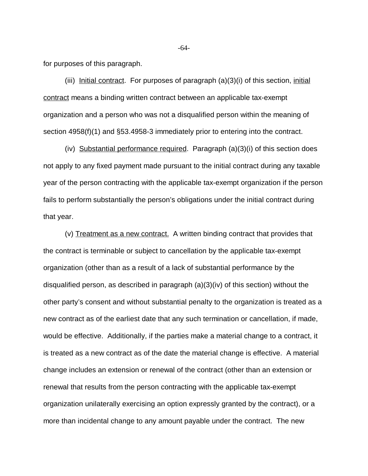for purposes of this paragraph.

(iii) Initial contract. For purposes of paragraph  $(a)(3)(i)$  of this section, initial contract means a binding written contract between an applicable tax-exempt organization and a person who was not a disqualified person within the meaning of section 4958(f)(1) and §53.4958-3 immediately prior to entering into the contract.

(iv) Substantial performance required. Paragraph  $(a)(3)(i)$  of this section does not apply to any fixed payment made pursuant to the initial contract during any taxable year of the person contracting with the applicable tax-exempt organization if the person fails to perform substantially the person's obligations under the initial contract during that year.

(v) Treatment as a new contract. A written binding contract that provides that the contract is terminable or subject to cancellation by the applicable tax-exempt organization (other than as a result of a lack of substantial performance by the disqualified person, as described in paragraph (a)(3)(iv) of this section) without the other party's consent and without substantial penalty to the organization is treated as a new contract as of the earliest date that any such termination or cancellation, if made, would be effective. Additionally, if the parties make a material change to a contract, it is treated as a new contract as of the date the material change is effective. A material change includes an extension or renewal of the contract (other than an extension or renewal that results from the person contracting with the applicable tax-exempt organization unilaterally exercising an option expressly granted by the contract), or a more than incidental change to any amount payable under the contract. The new

-64-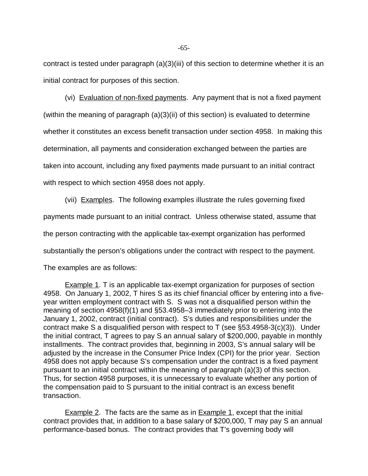contract is tested under paragraph (a)(3)(iii) of this section to determine whether it is an initial contract for purposes of this section.

(vi) Evaluation of non-fixed payments. Any payment that is not a fixed payment (within the meaning of paragraph (a)(3)(ii) of this section) is evaluated to determine whether it constitutes an excess benefit transaction under section 4958. In making this determination, all payments and consideration exchanged between the parties are taken into account, including any fixed payments made pursuant to an initial contract with respect to which section 4958 does not apply.

(vii) Examples. The following examples illustrate the rules governing fixed payments made pursuant to an initial contract. Unless otherwise stated, assume that the person contracting with the applicable tax-exempt organization has performed substantially the person's obligations under the contract with respect to the payment.

The examples are as follows:

Example 1. T is an applicable tax-exempt organization for purposes of section 4958. On January 1, 2002, T hires S as its chief financial officer by entering into a fiveyear written employment contract with S. S was not a disqualified person within the meaning of section 4958(f)(1) and §53.4958–3 immediately prior to entering into the January 1, 2002, contract (initial contract). S's duties and responsibilities under the contract make S a disqualified person with respect to T (see §53.4958-3(c)(3)). Under the initial contract, T agrees to pay S an annual salary of \$200,000, payable in monthly installments. The contract provides that, beginning in 2003, S's annual salary will be adjusted by the increase in the Consumer Price Index (CPI) for the prior year. Section 4958 does not apply because S's compensation under the contract is a fixed payment pursuant to an initial contract within the meaning of paragraph (a)(3) of this section. Thus, for section 4958 purposes, it is unnecessary to evaluate whether any portion of the compensation paid to S pursuant to the initial contract is an excess benefit transaction.

**Example 2.** The facts are the same as in **Example 1**, except that the initial contract provides that, in addition to a base salary of \$200,000, T may pay S an annual performance-based bonus. The contract provides that T's governing body will

-65-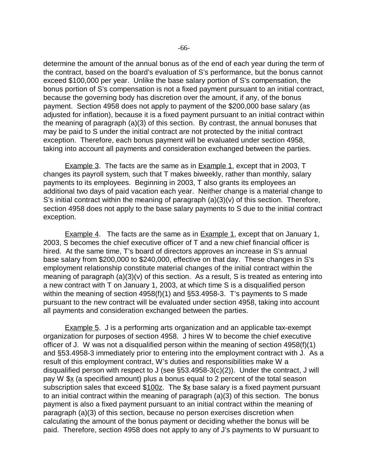determine the amount of the annual bonus as of the end of each year during the term of the contract, based on the board's evaluation of S's performance, but the bonus cannot exceed \$100,000 per year. Unlike the base salary portion of S's compensation, the bonus portion of S's compensation is not a fixed payment pursuant to an initial contract, because the governing body has discretion over the amount, if any, of the bonus payment. Section 4958 does not apply to payment of the \$200,000 base salary (as adjusted for inflation), because it is a fixed payment pursuant to an initial contract within the meaning of paragraph (a)(3) of this section. By contrast, the annual bonuses that may be paid to S under the initial contract are not protected by the initial contract exception. Therefore, each bonus payment will be evaluated under section 4958, taking into account all payments and consideration exchanged between the parties.

Example 3. The facts are the same as in Example 1, except that in 2003, T changes its payroll system, such that T makes biweekly, rather than monthly, salary payments to its employees. Beginning in 2003, T also grants its employees an additional two days of paid vacation each year. Neither change is a material change to S's initial contract within the meaning of paragraph  $(a)(3)(v)$  of this section. Therefore, section 4958 does not apply to the base salary payments to S due to the initial contract exception.

Example 4. The facts are the same as in Example 1, except that on January 1, 2003, S becomes the chief executive officer of T and a new chief financial officer is hired. At the same time, T's board of directors approves an increase in S's annual base salary from \$200,000 to \$240,000, effective on that day. These changes in S's employment relationship constitute material changes of the initial contract within the meaning of paragraph (a)(3)(v) of this section. As a result, S is treated as entering into a new contract with T on January 1, 2003, at which time S is a disqualified person within the meaning of section 4958(f)(1) and §53.4958-3. T's payments to S made pursuant to the new contract will be evaluated under section 4958, taking into account all payments and consideration exchanged between the parties.

**Example 5.** J is a performing arts organization and an applicable tax-exempt organization for purposes of section 4958. J hires W to become the chief executive officer of J. W was not a disqualified person within the meaning of section 4958(f)(1) and §53.4958-3 immediately prior to entering into the employment contract with J. As a result of this employment contract, W's duties and responsibilities make W a disqualified person with respect to J (see §53.4958-3(c)(2)). Under the contract, J will pay W \$x (a specified amount) plus a bonus equal to 2 percent of the total season subscription sales that exceed  $$100z$ . The  $$x$  base salary is a fixed payment pursuant to an initial contract within the meaning of paragraph (a)(3) of this section. The bonus payment is also a fixed payment pursuant to an initial contract within the meaning of paragraph (a)(3) of this section, because no person exercises discretion when calculating the amount of the bonus payment or deciding whether the bonus will be paid. Therefore, section 4958 does not apply to any of J's payments to W pursuant to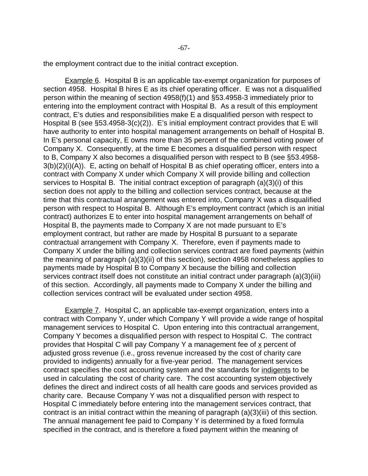the employment contract due to the initial contract exception.

Example 6. Hospital B is an applicable tax-exempt organization for purposes of section 4958. Hospital B hires E as its chief operating officer. E was not a disqualified person within the meaning of section 4958(f)(1) and §53.4958-3 immediately prior to entering into the employment contract with Hospital B. As a result of this employment contract, E's duties and responsibilities make E a disqualified person with respect to Hospital B (see §53.4958-3(c)(2)). E's initial employment contract provides that E will have authority to enter into hospital management arrangements on behalf of Hospital B. In E's personal capacity, E owns more than 35 percent of the combined voting power of Company X. Consequently, at the time E becomes a disqualified person with respect to B, Company X also becomes a disqualified person with respect to B (see §53.4958- 3(b)(2)(i)(A)). E, acting on behalf of Hospital B as chief operating officer, enters into a contract with Company X under which Company X will provide billing and collection services to Hospital B. The initial contract exception of paragraph (a)(3)(i) of this section does not apply to the billing and collection services contract, because at the time that this contractual arrangement was entered into, Company X was a disqualified person with respect to Hospital B. Although E's employment contract (which is an initial contract) authorizes E to enter into hospital management arrangements on behalf of Hospital B, the payments made to Company X are not made pursuant to E's employment contract, but rather are made by Hospital B pursuant to a separate contractual arrangement with Company X. Therefore, even if payments made to Company X under the billing and collection services contract are fixed payments (within the meaning of paragraph (a)(3)(ii) of this section), section 4958 nonetheless applies to payments made by Hospital B to Company X because the billing and collection services contract itself does not constitute an initial contract under paragraph (a)(3)(iii) of this section. Accordingly, all payments made to Company X under the billing and collection services contract will be evaluated under section 4958.

Example 7. Hospital C, an applicable tax-exempt organization, enters into a contract with Company Y, under which Company Y will provide a wide range of hospital management services to Hospital C. Upon entering into this contractual arrangement, Company Y becomes a disqualified person with respect to Hospital C. The contract provides that Hospital C will pay Company Y a management fee of  $x$  percent of adjusted gross revenue (i.e., gross revenue increased by the cost of charity care provided to indigents) annually for a five-year period. The management services contract specifies the cost accounting system and the standards for indigents to be used in calculating the cost of charity care. The cost accounting system objectively defines the direct and indirect costs of all health care goods and services provided as charity care. Because Company Y was not a disqualified person with respect to Hospital C immediately before entering into the management services contract, that contract is an initial contract within the meaning of paragraph (a)(3)(iii) of this section. The annual management fee paid to Company Y is determined by a fixed formula specified in the contract, and is therefore a fixed payment within the meaning of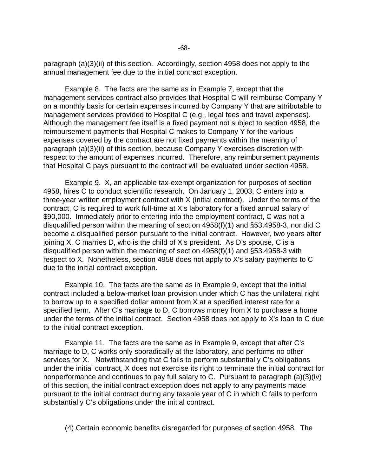paragraph (a)(3)(ii) of this section. Accordingly, section 4958 does not apply to the annual management fee due to the initial contract exception.

**Example 8.** The facts are the same as in **Example 7**, except that the management services contract also provides that Hospital C will reimburse Company Y on a monthly basis for certain expenses incurred by Company Y that are attributable to management services provided to Hospital C (e.g., legal fees and travel expenses). Although the management fee itself is a fixed payment not subject to section 4958, the reimbursement payments that Hospital C makes to Company Y for the various expenses covered by the contract are not fixed payments within the meaning of paragraph (a)(3)(ii) of this section, because Company Y exercises discretion with respect to the amount of expenses incurred. Therefore, any reimbursement payments that Hospital C pays pursuant to the contract will be evaluated under section 4958.

Example 9. X, an applicable tax-exempt organization for purposes of section 4958, hires C to conduct scientific research. On January 1, 2003, C enters into a three-year written employment contract with X (initial contract). Under the terms of the contract, C is required to work full-time at X's laboratory for a fixed annual salary of \$90,000. Immediately prior to entering into the employment contract, C was not a disqualified person within the meaning of section 4958(f)(1) and §53.4958-3, nor did C become a disqualified person pursuant to the initial contract. However, two years after joining X, C marries D, who is the child of X's president. As D's spouse, C is a disqualified person within the meaning of section 4958(f)(1) and §53.4958-3 with respect to X. Nonetheless, section 4958 does not apply to X's salary payments to C due to the initial contract exception.

Example 10. The facts are the same as in Example 9, except that the initial contract included a below-market loan provision under which C has the unilateral right to borrow up to a specified dollar amount from X at a specified interest rate for a specified term. After C's marriage to D, C borrows money from X to purchase a home under the terms of the initial contract. Section 4958 does not apply to X's loan to C due to the initial contract exception.

Example 11. The facts are the same as in **Example 9**, except that after C's marriage to D, C works only sporadically at the laboratory, and performs no other services for X. Notwithstanding that C fails to perform substantially C's obligations under the initial contract, X does not exercise its right to terminate the initial contract for nonperformance and continues to pay full salary to C. Pursuant to paragraph (a)(3)(iv) of this section, the initial contract exception does not apply to any payments made pursuant to the initial contract during any taxable year of C in which C fails to perform substantially C's obligations under the initial contract.

(4) Certain economic benefits disregarded for purposes of section 4958. The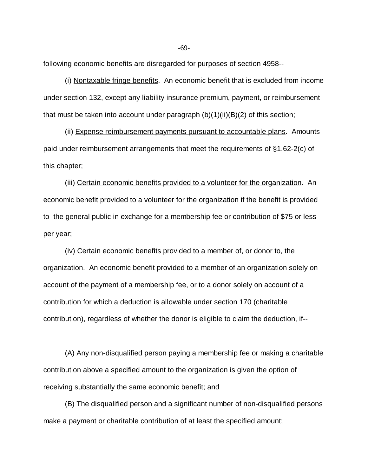following economic benefits are disregarded for purposes of section 4958--

(i) Nontaxable fringe benefits. An economic benefit that is excluded from income under section 132, except any liability insurance premium, payment, or reimbursement that must be taken into account under paragraph  $(b)(1)(ii)(B)(2)$  of this section;

(ii) Expense reimbursement payments pursuant to accountable plans. Amounts paid under reimbursement arrangements that meet the requirements of §1.62-2(c) of this chapter;

(iii) Certain economic benefits provided to a volunteer for the organization. An economic benefit provided to a volunteer for the organization if the benefit is provided to the general public in exchange for a membership fee or contribution of \$75 or less per year;

(iv) Certain economic benefits provided to a member of, or donor to, the organization. An economic benefit provided to a member of an organization solely on account of the payment of a membership fee, or to a donor solely on account of a contribution for which a deduction is allowable under section 170 (charitable contribution), regardless of whether the donor is eligible to claim the deduction, if--

(A) Any non-disqualified person paying a membership fee or making a charitable contribution above a specified amount to the organization is given the option of receiving substantially the same economic benefit; and

(B) The disqualified person and a significant number of non-disqualified persons make a payment or charitable contribution of at least the specified amount;

-69-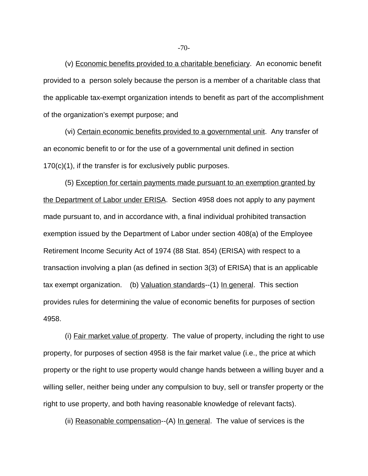(v) Economic benefits provided to a charitable beneficiary. An economic benefit provided to a person solely because the person is a member of a charitable class that the applicable tax-exempt organization intends to benefit as part of the accomplishment of the organization's exempt purpose; and

(vi) Certain economic benefits provided to a governmental unit. Any transfer of an economic benefit to or for the use of a governmental unit defined in section 170(c)(1), if the transfer is for exclusively public purposes.

(5) Exception for certain payments made pursuant to an exemption granted by the Department of Labor under ERISA. Section 4958 does not apply to any payment made pursuant to, and in accordance with, a final individual prohibited transaction exemption issued by the Department of Labor under section 408(a) of the Employee Retirement Income Security Act of 1974 (88 Stat. 854) (ERISA) with respect to a transaction involving a plan (as defined in section 3(3) of ERISA) that is an applicable tax exempt organization. (b) Valuation standards--(1) In general. This section provides rules for determining the value of economic benefits for purposes of section 4958.

(i) Fair market value of property. The value of property, including the right to use property, for purposes of section 4958 is the fair market value (i.e., the price at which property or the right to use property would change hands between a willing buyer and a willing seller, neither being under any compulsion to buy, sell or transfer property or the right to use property, and both having reasonable knowledge of relevant facts).

(ii) Reasonable compensation--(A) In general. The value of services is the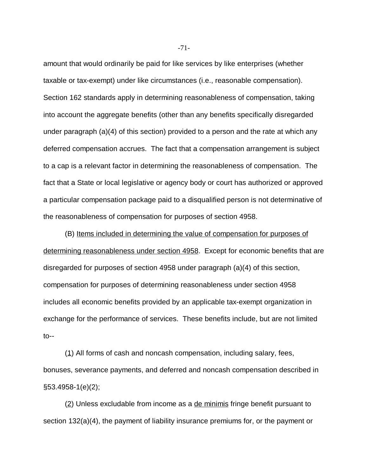amount that would ordinarily be paid for like services by like enterprises (whether taxable or tax-exempt) under like circumstances (i.e., reasonable compensation). Section 162 standards apply in determining reasonableness of compensation, taking into account the aggregate benefits (other than any benefits specifically disregarded under paragraph (a)(4) of this section) provided to a person and the rate at which any deferred compensation accrues. The fact that a compensation arrangement is subject to a cap is a relevant factor in determining the reasonableness of compensation. The fact that a State or local legislative or agency body or court has authorized or approved a particular compensation package paid to a disqualified person is not determinative of the reasonableness of compensation for purposes of section 4958.

(B) Items included in determining the value of compensation for purposes of determining reasonableness under section 4958. Except for economic benefits that are disregarded for purposes of section 4958 under paragraph (a)(4) of this section, compensation for purposes of determining reasonableness under section 4958 includes all economic benefits provided by an applicable tax-exempt organization in exchange for the performance of services. These benefits include, but are not limited to--

 $(1)$  All forms of cash and noncash compensation, including salary, fees, bonuses, severance payments, and deferred and noncash compensation described in §53.4958-1(e)(2);

(2) Unless excludable from income as a de minimis fringe benefit pursuant to section 132(a)(4), the payment of liability insurance premiums for, or the payment or

-71-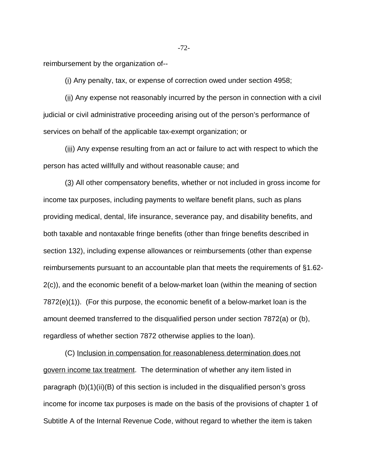reimbursement by the organization of--

(i) Any penalty, tax, or expense of correction owed under section 4958;

 $(i)$  Any expense not reasonably incurred by the person in connection with a civil judicial or civil administrative proceeding arising out of the person's performance of services on behalf of the applicable tax-exempt organization; or

(iii) Any expense resulting from an act or failure to act with respect to which the person has acted willfully and without reasonable cause; and

(3) All other compensatory benefits, whether or not included in gross income for income tax purposes, including payments to welfare benefit plans, such as plans providing medical, dental, life insurance, severance pay, and disability benefits, and both taxable and nontaxable fringe benefits (other than fringe benefits described in section 132), including expense allowances or reimbursements (other than expense reimbursements pursuant to an accountable plan that meets the requirements of §1.62- 2(c)), and the economic benefit of a below-market loan (within the meaning of section 7872(e)(1)). (For this purpose, the economic benefit of a below-market loan is the amount deemed transferred to the disqualified person under section 7872(a) or (b), regardless of whether section 7872 otherwise applies to the loan).

(C) Inclusion in compensation for reasonableness determination does not govern income tax treatment. The determination of whether any item listed in paragraph (b)(1)(ii)(B) of this section is included in the disqualified person's gross income for income tax purposes is made on the basis of the provisions of chapter 1 of Subtitle A of the Internal Revenue Code, without regard to whether the item is taken

-72-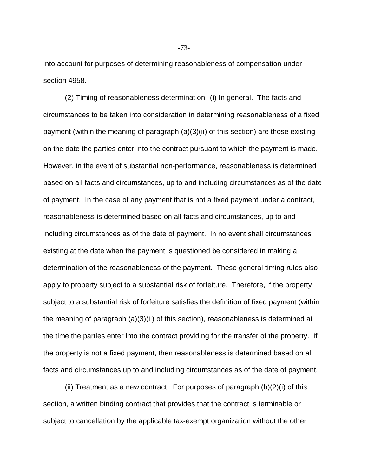into account for purposes of determining reasonableness of compensation under section 4958.

(2) Timing of reasonableness determination--(i) In general. The facts and circumstances to be taken into consideration in determining reasonableness of a fixed payment (within the meaning of paragraph (a)(3)(ii) of this section) are those existing on the date the parties enter into the contract pursuant to which the payment is made. However, in the event of substantial non-performance, reasonableness is determined based on all facts and circumstances, up to and including circumstances as of the date of payment. In the case of any payment that is not a fixed payment under a contract, reasonableness is determined based on all facts and circumstances, up to and including circumstances as of the date of payment. In no event shall circumstances existing at the date when the payment is questioned be considered in making a determination of the reasonableness of the payment. These general timing rules also apply to property subject to a substantial risk of forfeiture. Therefore, if the property subject to a substantial risk of forfeiture satisfies the definition of fixed payment (within the meaning of paragraph (a)(3)(ii) of this section), reasonableness is determined at the time the parties enter into the contract providing for the transfer of the property. If the property is not a fixed payment, then reasonableness is determined based on all facts and circumstances up to and including circumstances as of the date of payment.

(ii) Treatment as a new contract. For purposes of paragraph  $(b)(2)(i)$  of this section, a written binding contract that provides that the contract is terminable or subject to cancellation by the applicable tax-exempt organization without the other

-73-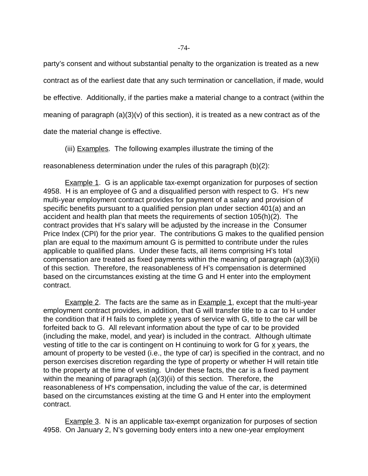party's consent and without substantial penalty to the organization is treated as a new contract as of the earliest date that any such termination or cancellation, if made, would be effective. Additionally, if the parties make a material change to a contract (within the meaning of paragraph  $(a)(3)(v)$  of this section), it is treated as a new contract as of the

date the material change is effective.

(iii) Examples. The following examples illustrate the timing of the

reasonableness determination under the rules of this paragraph (b)(2):

Example 1. G is an applicable tax-exempt organization for purposes of section 4958. H is an employee of G and a disqualified person with respect to G. H's new multi-year employment contract provides for payment of a salary and provision of specific benefits pursuant to a qualified pension plan under section 401(a) and an accident and health plan that meets the requirements of section 105(h)(2). The contract provides that H's salary will be adjusted by the increase in the Consumer Price Index (CPI) for the prior year. The contributions G makes to the qualified pension plan are equal to the maximum amount G is permitted to contribute under the rules applicable to qualified plans. Under these facts, all items comprising H's total compensation are treated as fixed payments within the meaning of paragraph (a)(3)(ii) of this section.Therefore, the reasonableness of H's compensation is determined based on the circumstances existing at the time G and H enter into the employment contract.

Example 2. The facts are the same as in Example 1, except that the multi-year employment contract provides, in addition, that G will transfer title to a car to H under the condition that if H fails to complete  $x$  years of service with G, title to the car will be forfeited back to G. All relevant information about the type of car to be provided (including the make, model, and year) is included in the contract. Although ultimate vesting of title to the car is contingent on H continuing to work for G for x years, the amount of property to be vested (i.e., the type of car) is specified in the contract, and no person exercises discretion regarding the type of property or whether H will retain title to the property at the time of vesting. Under these facts, the car is a fixed payment within the meaning of paragraph (a)(3)(ii) of this section. Therefore, the reasonableness of H's compensation, including the value of the car, is determined based on the circumstances existing at the time G and H enter into the employment contract.

Example 3. N is an applicable tax-exempt organization for purposes of section 4958. On January 2, N's governing body enters into a new one-year employment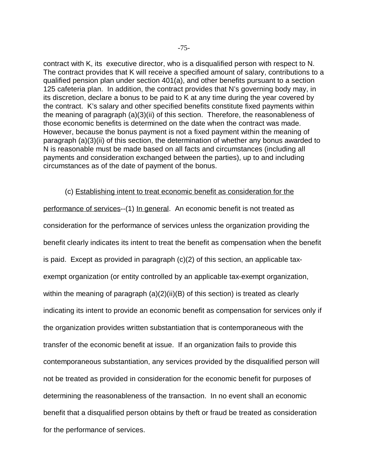contract with K, its executive director, who is a disqualified person with respect to N. The contract provides that K will receive a specified amount of salary, contributions to a qualified pension plan under section 401(a), and other benefits pursuant to a section 125 cafeteria plan. In addition, the contract provides that N's governing body may, in its discretion, declare a bonus to be paid to K at any time during the year covered by the contract. K's salary and other specified benefits constitute fixed payments within the meaning of paragraph (a)(3)(ii) of this section.Therefore, the reasonableness of those economic benefits is determined on the date when the contract was made. However, because the bonus payment is not a fixed payment within the meaning of paragraph (a)(3)(ii) of this section, the determination of whether any bonus awarded to N is reasonable must be made based on all facts and circumstances (including all payments and consideration exchanged between the parties), up to and including circumstances as of the date of payment of the bonus.

### (c) Establishing intent to treat economic benefit as consideration for the

performance of services--(1) In general. An economic benefit is not treated as consideration for the performance of services unless the organization providing the benefit clearly indicates its intent to treat the benefit as compensation when the benefit is paid. Except as provided in paragraph (c)(2) of this section, an applicable taxexempt organization (or entity controlled by an applicable tax-exempt organization, within the meaning of paragraph (a)(2)(ii)(B) of this section) is treated as clearly indicating its intent to provide an economic benefit as compensation for services only if the organization provides written substantiation that is contemporaneous with the transfer of the economic benefit at issue. If an organization fails to provide this contemporaneous substantiation, any services provided by the disqualified person will not be treated as provided in consideration for the economic benefit for purposes of determining the reasonableness of the transaction. In no event shall an economic benefit that a disqualified person obtains by theft or fraud be treated as consideration for the performance of services.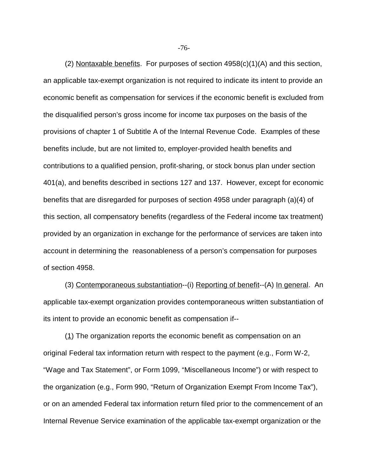(2) Nontaxable benefits. For purposes of section  $4958(c)(1)(A)$  and this section, an applicable tax-exempt organization is not required to indicate its intent to provide an economic benefit as compensation for services if the economic benefit is excluded from the disqualified person's gross income for income tax purposes on the basis of the provisions of chapter 1 of Subtitle A of the Internal Revenue Code. Examples of these benefits include, but are not limited to, employer-provided health benefits and contributions to a qualified pension, profit-sharing, or stock bonus plan under section 401(a), and benefits described in sections 127 and 137. However, except for economic benefits that are disregarded for purposes of section 4958 under paragraph (a)(4) of this section, all compensatory benefits (regardless of the Federal income tax treatment) provided by an organization in exchange for the performance of services are taken into account in determining the reasonableness of a person's compensation for purposes of section 4958.

(3) Contemporaneous substantiation--(i) Reporting of benefit--(A) In general. An applicable tax-exempt organization provides contemporaneous written substantiation of its intent to provide an economic benefit as compensation if--

(1) The organization reports the economic benefit as compensation on an original Federal tax information return with respect to the payment (e.g., Form W-2, "Wage and Tax Statement", or Form 1099, "Miscellaneous Income") or with respect to the organization (e.g., Form 990, "Return of Organization Exempt From Income Tax"), or on an amended Federal tax information return filed prior to the commencement of an Internal Revenue Service examination of the applicable tax-exempt organization or the

-76-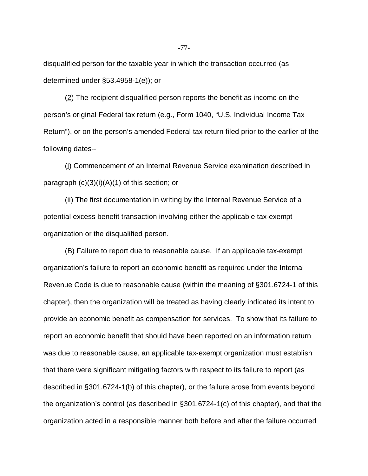disqualified person for the taxable year in which the transaction occurred (as determined under §53.4958-1(e)); or

(2) The recipient disqualified person reports the benefit as income on the person's original Federal tax return (e.g., Form 1040, "U.S. Individual Income Tax Return"), or on the person's amended Federal tax return filed prior to the earlier of the following dates--

(i) Commencement of an Internal Revenue Service examination described in paragraph  $(c)(3)(i)(A)(1)$  of this section; or

 $(i)$  The first documentation in writing by the Internal Revenue Service of a potential excess benefit transaction involving either the applicable tax-exempt organization or the disqualified person.

(B) Failure to report due to reasonable cause. If an applicable tax-exempt organization's failure to report an economic benefit as required under the Internal Revenue Code is due to reasonable cause (within the meaning of §301.6724-1 of this chapter), then the organization will be treated as having clearly indicated its intent to provide an economic benefit as compensation for services. To show that its failure to report an economic benefit that should have been reported on an information return was due to reasonable cause, an applicable tax-exempt organization must establish that there were significant mitigating factors with respect to its failure to report (as described in §301.6724-1(b) of this chapter), or the failure arose from events beyond the organization's control (as described in §301.6724-1(c) of this chapter), and that the organization acted in a responsible manner both before and after the failure occurred

-77-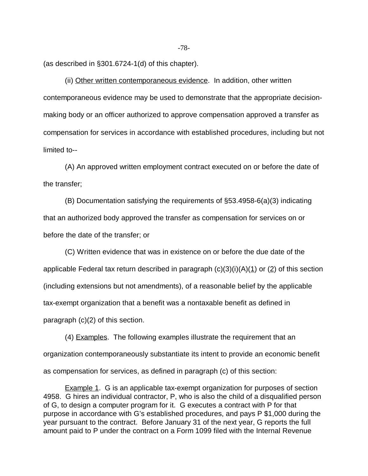(as described in §301.6724-1(d) of this chapter).

(ii) Other written contemporaneous evidence. In addition, other written contemporaneous evidence may be used to demonstrate that the appropriate decisionmaking body or an officer authorized to approve compensation approved a transfer as compensation for services in accordance with established procedures, including but not limited to--

(A) An approved written employment contract executed on or before the date of the transfer;

(B) Documentation satisfying the requirements of §53.4958-6(a)(3) indicating that an authorized body approved the transfer as compensation for services on or before the date of the transfer; or

(C) Written evidence that was in existence on or before the due date of the applicable Federal tax return described in paragraph  $(c)(3)(i)(A)(1)$  or  $(2)$  of this section (including extensions but not amendments), of a reasonable belief by the applicable tax-exempt organization that a benefit was a nontaxable benefit as defined in paragraph (c)(2) of this section.

(4) Examples. The following examples illustrate the requirement that an organization contemporaneously substantiate its intent to provide an economic benefit as compensation for services, as defined in paragraph (c) of this section:

Example 1. G is an applicable tax-exempt organization for purposes of section 4958. G hires an individual contractor, P, who is also the child of a disqualified person of G, to design a computer program for it. G executes a contract with P for that purpose in accordance with G's established procedures, and pays P \$1,000 during the year pursuant to the contract. Before January 31 of the next year, G reports the full amount paid to P under the contract on a Form 1099 filed with the Internal Revenue

-78-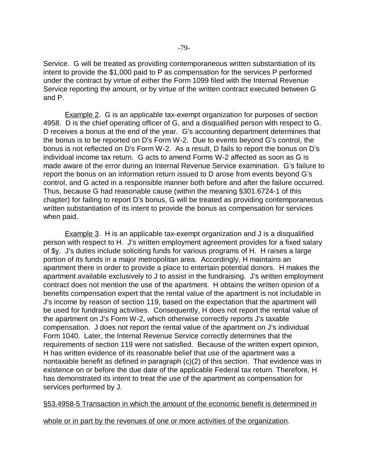Service. G will be treated as providing contemporaneous written substantiation of its intent to provide the \$1,000 paid to P as compensation for the services P performed under the contract by virtue of either the Form 1099 filed with the Internal Revenue Service reporting the amount, or by virtue of the written contract executed between G and P.

**Example 2.** G is an applicable tax-exempt organization for purposes of section 4958. D is the chief operating officer of G, and a disqualified person with respect to G. D receives a bonus at the end of the year. G's accounting department determines that the bonus is to be reported on D's Form W-2. Due to events beyond G's control, the bonus is not reflected on D's Form W-2. As a result, D fails to report the bonus on D's individual income tax return. G acts to amend Forms W-2 affected as soon as G is made aware of the error during an Internal Revenue Service examination. G's failure to report the bonus on an information return issued to D arose from events beyond G's control, and G acted in a responsible manner both before and after the failure occurred. Thus, because G had reasonable cause (within the meaning §301.6724-1 of this chapter) for failing to report D's bonus, G will be treated as providing contemporaneous written substantiation of its intent to provide the bonus as compensation for services when paid.

**Example 3.** H is an applicable tax-exempt organization and J is a disqualified person with respect to H. J's written employment agreement provides for a fixed salary of  $\frac{dy}{dx}$ . J's duties include soliciting funds for various programs of H. H raises a large portion of its funds in a major metropolitan area. Accordingly, H maintains an apartment there in order to provide a place to entertain potential donors. H makes the apartment available exclusively to J to assist in the fundraising. J's written employment contract does not mention the use of the apartment. H obtains the written opinion of a benefits compensation expert that the rental value of the apartment is not includable in J's income by reason of section 119, based on the expectation that the apartment will be used for fundraising activities. Consequently, H does not report the rental value of the apartment on J's Form W-2, which otherwise correctly reports J's taxable compensation. J does not report the rental value of the apartment on J's individual Form 1040. Later, the Internal Revenue Service correctly determines that the requirements of section 119 were not satisfied. Because of the written expert opinion, H has written evidence of its reasonable belief that use of the apartment was a nontaxable benefit as defined in paragraph (c)(2) of this section. That evidence was in existence on or before the due date of the applicable Federal tax return. Therefore, H has demonstrated its intent to treat the use of the apartment as compensation for services performed by J.

# §53.4958-5 Transaction in which the amount of the economic benefit is determined in

whole or in part by the revenues of one or more activities of the organization.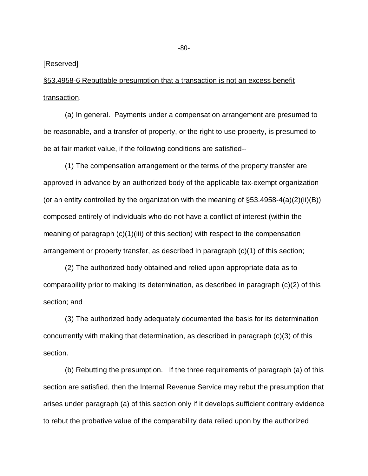[Reserved]

§53.4958-6 Rebuttable presumption that a transaction is not an excess benefit transaction.

(a) In general. Payments under a compensation arrangement are presumed to be reasonable, and a transfer of property, or the right to use property, is presumed to be at fair market value, if the following conditions are satisfied--

(1) The compensation arrangement or the terms of the property transfer are approved in advance by an authorized body of the applicable tax-exempt organization (or an entity controlled by the organization with the meaning of  $\S53.4958-4(a)(2)(ii)(B)$ ) composed entirely of individuals who do not have a conflict of interest (within the meaning of paragraph (c)(1)(iii) of this section) with respect to the compensation arrangement or property transfer, as described in paragraph (c)(1) of this section;

(2) The authorized body obtained and relied upon appropriate data as to comparability prior to making its determination, as described in paragraph (c)(2) of this section; and

(3) The authorized body adequately documented the basis for its determination concurrently with making that determination, as described in paragraph (c)(3) of this section.

(b) Rebutting the presumption. If the three requirements of paragraph (a) of this section are satisfied, then the Internal Revenue Service may rebut the presumption that arises under paragraph (a) of this section only if it develops sufficient contrary evidence to rebut the probative value of the comparability data relied upon by the authorized

-80-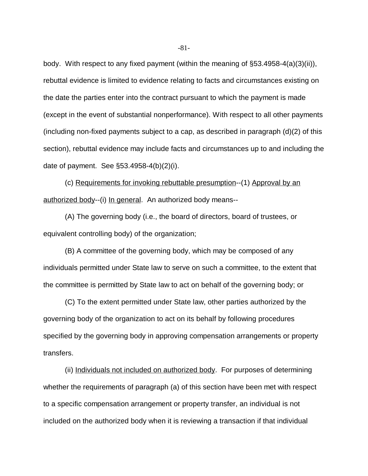body. With respect to any fixed payment (within the meaning of §53.4958-4(a)(3)(ii)), rebuttal evidence is limited to evidence relating to facts and circumstances existing on the date the parties enter into the contract pursuant to which the payment is made (except in the event of substantial nonperformance). With respect to all other payments (including non-fixed payments subject to a cap, as described in paragraph (d)(2) of this section), rebuttal evidence may include facts and circumstances up to and including the date of payment. See §53.4958-4(b)(2)(i).

(c) Requirements for invoking rebuttable presumption--(1) Approval by an authorized body--(i) In general. An authorized body means--

(A) The governing body (i.e., the board of directors, board of trustees, or equivalent controlling body) of the organization;

(B) A committee of the governing body, which may be composed of any individuals permitted under State law to serve on such a committee, to the extent that the committee is permitted by State law to act on behalf of the governing body; or

(C) To the extent permitted under State law, other parties authorized by the governing body of the organization to act on its behalf by following procedures specified by the governing body in approving compensation arrangements or property transfers.

(ii) Individuals not included on authorized body. For purposes of determining whether the requirements of paragraph (a) of this section have been met with respect to a specific compensation arrangement or property transfer, an individual is not included on the authorized body when it is reviewing a transaction if that individual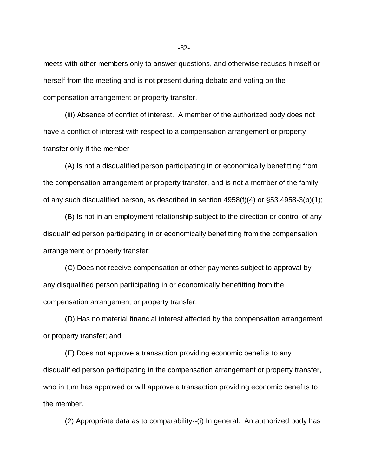meets with other members only to answer questions, and otherwise recuses himself or herself from the meeting and is not present during debate and voting on the compensation arrangement or property transfer.

(iii) Absence of conflict of interest. A member of the authorized body does not have a conflict of interest with respect to a compensation arrangement or property transfer only if the member--

(A) Is not a disqualified person participating in or economically benefitting from the compensation arrangement or property transfer, and is not a member of the family of any such disqualified person, as described in section 4958(f)(4) or §53.4958-3(b)(1);

(B) Is not in an employment relationship subject to the direction or control of any disqualified person participating in or economically benefitting from the compensation arrangement or property transfer;

(C) Does not receive compensation or other payments subject to approval by any disqualified person participating in or economically benefitting from the compensation arrangement or property transfer;

(D) Has no material financial interest affected by the compensation arrangement or property transfer; and

(E) Does not approve a transaction providing economic benefits to any disqualified person participating in the compensation arrangement or property transfer, who in turn has approved or will approve a transaction providing economic benefits to the member.

(2) Appropriate data as to comparability--(i) In general. An authorized body has

-82-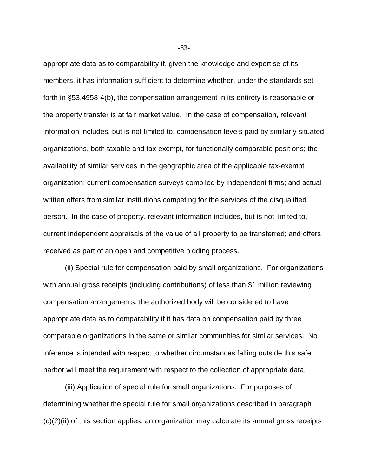appropriate data as to comparability if, given the knowledge and expertise of its members, it has information sufficient to determine whether, under the standards set forth in §53.4958-4(b), the compensation arrangement in its entirety is reasonable or the property transfer is at fair market value. In the case of compensation, relevant information includes, but is not limited to, compensation levels paid by similarly situated organizations, both taxable and tax-exempt, for functionally comparable positions; the availability of similar services in the geographic area of the applicable tax-exempt organization; current compensation surveys compiled by independent firms; and actual written offers from similar institutions competing for the services of the disqualified person. In the case of property, relevant information includes, but is not limited to, current independent appraisals of the value of all property to be transferred; and offers received as part of an open and competitive bidding process.

(ii) Special rule for compensation paid by small organizations. For organizations with annual gross receipts (including contributions) of less than \$1 million reviewing compensation arrangements, the authorized body will be considered to have appropriate data as to comparability if it has data on compensation paid by three comparable organizations in the same or similar communities for similar services. No inference is intended with respect to whether circumstances falling outside this safe harbor will meet the requirement with respect to the collection of appropriate data.

(iii) Application of special rule for small organizations. For purposes of determining whether the special rule for small organizations described in paragraph  $(c)(2)(ii)$  of this section applies, an organization may calculate its annual gross receipts

-83-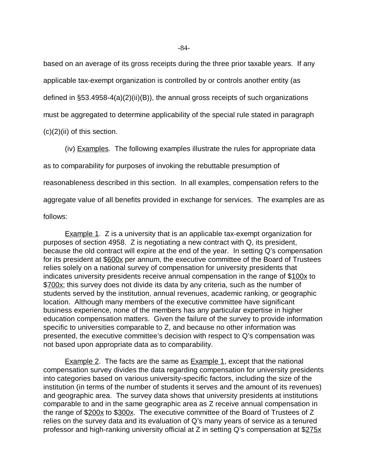based on an average of its gross receipts during the three prior taxable years. If any applicable tax-exempt organization is controlled by or controls another entity (as defined in §53.4958-4(a)(2)(ii)(B)), the annual gross receipts of such organizations must be aggregated to determine applicability of the special rule stated in paragraph (c)(2)(ii) of this section.

(iv) Examples. The following examples illustrate the rules for appropriate data as to comparability for purposes of invoking the rebuttable presumption of reasonableness described in this section. In all examples, compensation refers to the aggregate value of all benefits provided in exchange for services. The examples are as follows:

**Example 1.** Z is a university that is an applicable tax-exempt organization for purposes of section 4958. Z is negotiating a new contract with Q, its president, because the old contract will expire at the end of the year. In setting Q's compensation for its president at \$600x per annum, the executive committee of the Board of Trustees relies solely on a national survey of compensation for university presidents that indicates university presidents receive annual compensation in the range of \$100x to \$700x; this survey does not divide its data by any criteria, such as the number of students served by the institution, annual revenues, academic ranking, or geographic location. Although many members of the executive committee have significant business experience, none of the members has any particular expertise in higher education compensation matters. Given the failure of the survey to provide information specific to universities comparable to Z, and because no other information was presented, the executive committee's decision with respect to Q's compensation was not based upon appropriate data as to comparability.

Example 2. The facts are the same as Example 1, except that the national compensation survey divides the data regarding compensation for university presidents into categories based on various university-specific factors, including the size of the institution (in terms of the number of students it serves and the amount of its revenues) and geographic area. The survey data shows that university presidents at institutions comparable to and in the same geographic area as Z receive annual compensation in the range of \$200x to \$300x. The executive committee of the Board of Trustees of Z relies on the survey data and its evaluation of Q's many years of service as a tenured professor and high-ranking university official at Z in setting Q's compensation at \$275x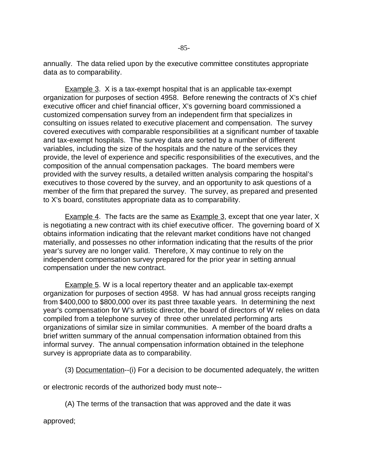annually. The data relied upon by the executive committee constitutes appropriate data as to comparability.

**Example 3.** X is a tax-exempt hospital that is an applicable tax-exempt organization for purposes of section 4958. Before renewing the contracts of X's chief executive officer and chief financial officer, X's governing board commissioned a customized compensation survey from an independent firm that specializes in consulting on issues related to executive placement and compensation. The survey covered executives with comparable responsibilities at a significant number of taxable and tax-exempt hospitals. The survey data are sorted by a number of different variables, including the size of the hospitals and the nature of the services they provide, the level of experience and specific responsibilities of the executives, and the composition of the annual compensation packages. The board members were provided with the survey results, a detailed written analysis comparing the hospital's executives to those covered by the survey, and an opportunity to ask questions of a member of the firm that prepared the survey. The survey, as prepared and presented to X's board, constitutes appropriate data as to comparability.

Example 4. The facts are the same as Example 3, except that one year later, X is negotiating a new contract with its chief executive officer. The governing board of X obtains information indicating that the relevant market conditions have not changed materially, and possesses no other information indicating that the results of the prior year's survey are no longer valid. Therefore, X may continue to rely on the independent compensation survey prepared for the prior year in setting annual compensation under the new contract.

Example 5. W is a local repertory theater and an applicable tax-exempt organization for purposes of section 4958. W has had annual gross receipts ranging from \$400,000 to \$800,000 over its past three taxable years. In determining the next year's compensation for W's artistic director, the board of directors of W relies on data compiled from a telephone survey of three other unrelated performing arts organizations of similar size in similar communities. A member of the board drafts a brief written summary of the annual compensation information obtained from this informal survey. The annual compensation information obtained in the telephone survey is appropriate data as to comparability.

(3) Documentation--(i) For a decision to be documented adequately, the written

or electronic records of the authorized body must note--

(A) The terms of the transaction that was approved and the date it was

approved;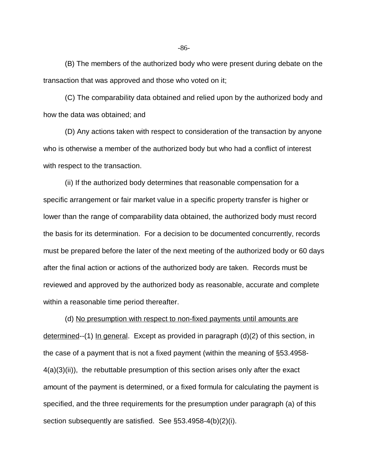(B) The members of the authorized body who were present during debate on the transaction that was approved and those who voted on it;

(C) The comparability data obtained and relied upon by the authorized body and how the data was obtained; and

(D) Any actions taken with respect to consideration of the transaction by anyone who is otherwise a member of the authorized body but who had a conflict of interest with respect to the transaction.

(ii) If the authorized body determines that reasonable compensation for a specific arrangement or fair market value in a specific property transfer is higher or lower than the range of comparability data obtained, the authorized body must record the basis for its determination. For a decision to be documented concurrently, records must be prepared before the later of the next meeting of the authorized body or 60 days after the final action or actions of the authorized body are taken. Records must be reviewed and approved by the authorized body as reasonable, accurate and complete within a reasonable time period thereafter.

(d) No presumption with respect to non-fixed payments until amounts are determined--(1) In general. Except as provided in paragraph (d)(2) of this section, in the case of a payment that is not a fixed payment (within the meaning of §53.4958- 4(a)(3)(ii)), the rebuttable presumption of this section arises only after the exact amount of the payment is determined, or a fixed formula for calculating the payment is specified, and the three requirements for the presumption under paragraph (a) of this section subsequently are satisfied. See §53.4958-4(b)(2)(i).

-86-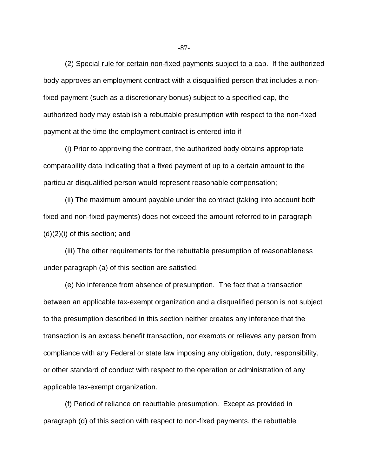(2) Special rule for certain non-fixed payments subject to a cap. If the authorized body approves an employment contract with a disqualified person that includes a nonfixed payment (such as a discretionary bonus) subject to a specified cap, the authorized body may establish a rebuttable presumption with respect to the non-fixed payment at the time the employment contract is entered into if--

(i) Prior to approving the contract, the authorized body obtains appropriate comparability data indicating that a fixed payment of up to a certain amount to the particular disqualified person would represent reasonable compensation;

(ii) The maximum amount payable under the contract (taking into account both fixed and non-fixed payments) does not exceed the amount referred to in paragraph (d)(2)(i) of this section; and

(iii) The other requirements for the rebuttable presumption of reasonableness under paragraph (a) of this section are satisfied.

(e) No inference from absence of presumption. The fact that a transaction between an applicable tax-exempt organization and a disqualified person is not subject to the presumption described in this section neither creates any inference that the transaction is an excess benefit transaction, nor exempts or relieves any person from compliance with any Federal or state law imposing any obligation, duty, responsibility, or other standard of conduct with respect to the operation or administration of any applicable tax-exempt organization.

(f) Period of reliance on rebuttable presumption. Except as provided in paragraph (d) of this section with respect to non-fixed payments, the rebuttable

-87-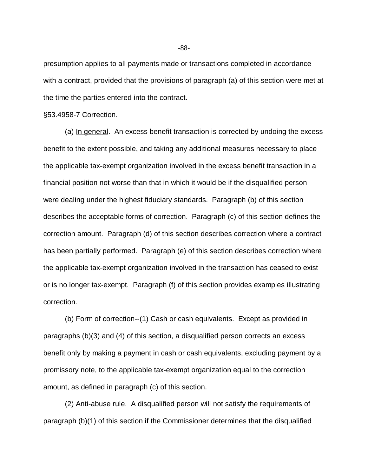presumption applies to all payments made or transactions completed in accordance with a contract, provided that the provisions of paragraph (a) of this section were met at the time the parties entered into the contract.

#### §53.4958-7 Correction.

(a) In general. An excess benefit transaction is corrected by undoing the excess benefit to the extent possible, and taking any additional measures necessary to place the applicable tax-exempt organization involved in the excess benefit transaction in a financial position not worse than that in which it would be if the disqualified person were dealing under the highest fiduciary standards. Paragraph (b) of this section describes the acceptable forms of correction. Paragraph (c) of this section defines the correction amount. Paragraph (d) of this section describes correction where a contract has been partially performed. Paragraph (e) of this section describes correction where the applicable tax-exempt organization involved in the transaction has ceased to exist or is no longer tax-exempt. Paragraph (f) of this section provides examples illustrating correction.

(b) Form of correction--(1) Cash or cash equivalents. Except as provided in paragraphs (b)(3) and (4) of this section, a disqualified person corrects an excess benefit only by making a payment in cash or cash equivalents, excluding payment by a promissory note, to the applicable tax-exempt organization equal to the correction amount, as defined in paragraph (c) of this section.

(2) Anti-abuse rule. A disqualified person will not satisfy the requirements of paragraph (b)(1) of this section if the Commissioner determines that the disqualified

-88-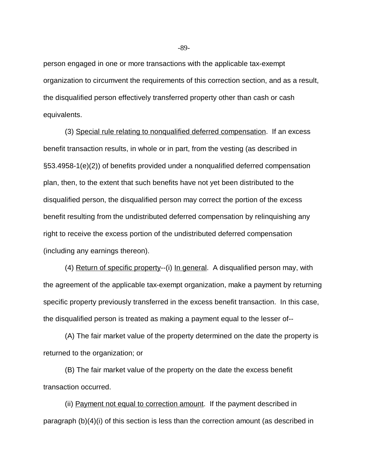person engaged in one or more transactions with the applicable tax-exempt organization to circumvent the requirements of this correction section, and as a result, the disqualified person effectively transferred property other than cash or cash equivalents.

(3) Special rule relating to nonqualified deferred compensation. If an excess benefit transaction results, in whole or in part, from the vesting (as described in §53.4958-1(e)(2)) of benefits provided under a nonqualified deferred compensation plan, then, to the extent that such benefits have not yet been distributed to the disqualified person, the disqualified person may correct the portion of the excess benefit resulting from the undistributed deferred compensation by relinquishing any right to receive the excess portion of the undistributed deferred compensation (including any earnings thereon).

(4) Return of specific property--(i) In general. A disqualified person may, with the agreement of the applicable tax-exempt organization, make a payment by returning specific property previously transferred in the excess benefit transaction. In this case, the disqualified person is treated as making a payment equal to the lesser of--

(A) The fair market value of the property determined on the date the property is returned to the organization; or

(B) The fair market value of the property on the date the excess benefit transaction occurred.

(ii) Payment not equal to correction amount. If the payment described in paragraph (b)(4)(i) of this section is less than the correction amount (as described in

-89-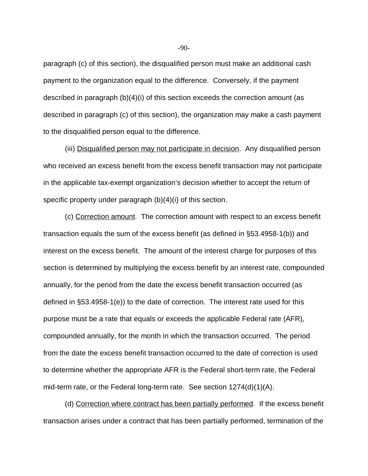paragraph (c) of this section), the disqualified person must make an additional cash payment to the organization equal to the difference. Conversely, if the payment described in paragraph (b)(4)(i) of this section exceeds the correction amount (as described in paragraph (c) of this section), the organization may make a cash payment to the disqualified person equal to the difference.

(iii) Disqualified person may not participate in decision. Any disqualified person who received an excess benefit from the excess benefit transaction may not participate in the applicable tax-exempt organization's decision whether to accept the return of specific property under paragraph (b)(4)(i) of this section.

(c) Correction amount. The correction amount with respect to an excess benefit transaction equals the sum of the excess benefit (as defined in §53.4958-1(b)) and interest on the excess benefit. The amount of the interest charge for purposes of this section is determined by multiplying the excess benefit by an interest rate, compounded annually, for the period from the date the excess benefit transaction occurred (as defined in §53.4958-1(e)) to the date of correction. The interest rate used for this purpose must be a rate that equals or exceeds the applicable Federal rate (AFR), compounded annually, for the month in which the transaction occurred. The period from the date the excess benefit transaction occurred to the date of correction is used to determine whether the appropriate AFR is the Federal short-term rate, the Federal mid-term rate, or the Federal long-term rate. See section 1274(d)(1)(A).

(d) Correction where contract has been partially performed. If the excess benefit transaction arises under a contract that has been partially performed, termination of the

-90-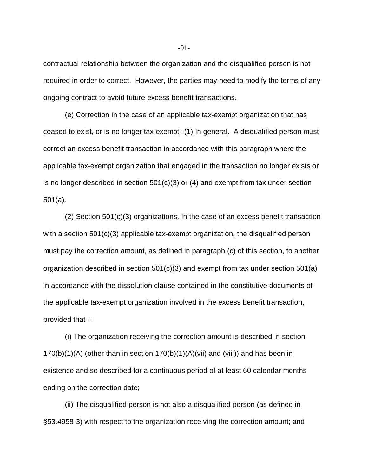contractual relationship between the organization and the disqualified person is not required in order to correct. However, the parties may need to modify the terms of any ongoing contract to avoid future excess benefit transactions.

(e) Correction in the case of an applicable tax-exempt organization that has ceased to exist, or is no longer tax-exempt--(1) In general. A disqualified person must correct an excess benefit transaction in accordance with this paragraph where the applicable tax-exempt organization that engaged in the transaction no longer exists or is no longer described in section 501(c)(3) or (4) and exempt from tax under section 501(a).

(2) Section 501(c)(3) organizations. In the case of an excess benefit transaction with a section 501(c)(3) applicable tax-exempt organization, the disqualified person must pay the correction amount, as defined in paragraph (c) of this section, to another organization described in section 501(c)(3) and exempt from tax under section 501(a) in accordance with the dissolution clause contained in the constitutive documents of the applicable tax-exempt organization involved in the excess benefit transaction, provided that --

(i) The organization receiving the correction amount is described in section  $170(b)(1)(A)$  (other than in section  $170(b)(1)(A)(vii)$  and (viii)) and has been in existence and so described for a continuous period of at least 60 calendar months ending on the correction date;

(ii) The disqualified person is not also a disqualified person (as defined in §53.4958-3) with respect to the organization receiving the correction amount; and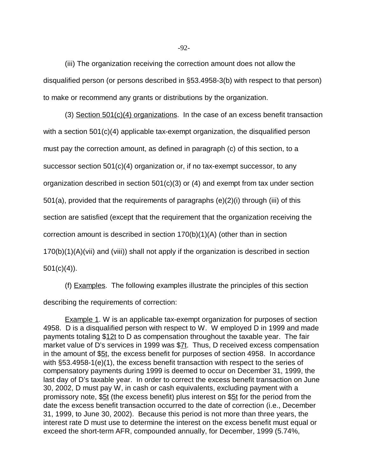(iii) The organization receiving the correction amount does not allow the disqualified person (or persons described in §53.4958-3(b) with respect to that person) to make or recommend any grants or distributions by the organization.

(3) Section 501(c)(4) organizations. In the case of an excess benefit transaction with a section 501(c)(4) applicable tax-exempt organization, the disqualified person must pay the correction amount, as defined in paragraph (c) of this section, to a successor section 501(c)(4) organization or, if no tax-exempt successor, to any organization described in section 501(c)(3) or (4) and exempt from tax under section 501(a), provided that the requirements of paragraphs (e)(2)(i) through (iii) of this section are satisfied (except that the requirement that the organization receiving the correction amount is described in section 170(b)(1)(A) (other than in section 170(b)(1)(A)(vii) and (viii)) shall not apply if the organization is described in section  $501(c)(4)$ ).

(f) Examples. The following examples illustrate the principles of this section describing the requirements of correction:

Example 1. W is an applicable tax-exempt organization for purposes of section 4958. D is a disqualified person with respect to W. W employed D in 1999 and made payments totaling \$12t to D as compensation throughout the taxable year. The fair market value of D's services in 1999 was \$7t. Thus, D received excess compensation in the amount of \$5t, the excess benefit for purposes of section 4958. In accordance with §53.4958-1(e)(1), the excess benefit transaction with respect to the series of compensatory payments during 1999 is deemed to occur on December 31, 1999, the last day of D's taxable year. In order to correct the excess benefit transaction on June 30, 2002, D must pay W, in cash or cash equivalents, excluding payment with a promissory note, \$5t (the excess benefit) plus interest on \$5t for the period from the date the excess benefit transaction occurred to the date of correction (i.e., December 31, 1999, to June 30, 2002). Because this period is not more than three years, the interest rate D must use to determine the interest on the excess benefit must equal or exceed the short-term AFR, compounded annually, for December, 1999 (5.74%,

-92-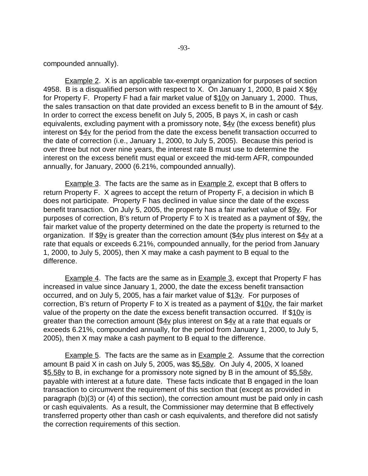Example 2. X is an applicable tax-exempt organization for purposes of section 4958. B is a disqualified person with respect to X. On January 1, 2000, B paid  $X$  \$6 $\underline{v}$ for Property F. Property F had a fair market value of \$10v on January 1, 2000. Thus, the sales transaction on that date provided an excess benefit to B in the amount of  $$4v$ . In order to correct the excess benefit on July 5, 2005, B pays X, in cash or cash equivalents, excluding payment with a promissory note, \$4v (the excess benefit) plus interest on  $$4v$  for the period from the date the excess benefit transaction occurred to the date of correction (i.e., January 1, 2000, to July 5, 2005). Because this period is over three but not over nine years, the interest rate B must use to determine the interest on the excess benefit must equal or exceed the mid-term AFR, compounded annually, for January, 2000 (6.21%, compounded annually).

**Example 3.** The facts are the same as in **Example 2**, except that B offers to return Property F. X agrees to accept the return of Property F, a decision in which B does not participate. Property F has declined in value since the date of the excess benefit transaction. On July 5, 2005, the property has a fair market value of \$9v. For purposes of correction, B's return of Property F to X is treated as a payment of  $$9v$ , the fair market value of the property determined on the date the property is returned to the organization. If \$9v is greater than the correction amount (\$4v plus interest on \$4v at a rate that equals or exceeds 6.21%, compounded annually, for the period from January 1, 2000, to July 5, 2005), then X may make a cash payment to B equal to the difference.

Example 4. The facts are the same as in Example 3, except that Property F has increased in value since January 1, 2000, the date the excess benefit transaction occurred, and on July 5, 2005, has a fair market value of \$13v. For purposes of correction, B's return of Property F to X is treated as a payment of  $$10v$ , the fair market value of the property on the date the excess benefit transaction occurred. If \$10y is greater than the correction amount  $(\frac{24v}{12})$  plus interest on  $\frac{24v}{12}$  at a rate that equals or exceeds 6.21%, compounded annually, for the period from January 1, 2000, to July 5, 2005), then X may make a cash payment to B equal to the difference.

**Example 5.** The facts are the same as in **Example 2.** Assume that the correction amount B paid X in cash on July 5, 2005, was \$5.58v. On July 4, 2005, X loaned \$5.58v to B, in exchange for a promissory note signed by B in the amount of \$5.58v, payable with interest at a future date. These facts indicate that B engaged in the loan transaction to circumvent the requirement of this section that (except as provided in paragraph (b)(3) or (4) of this section), the correction amount must be paid only in cash or cash equivalents. As a result, the Commissioner may determine that B effectively transferred property other than cash or cash equivalents, and therefore did not satisfy the correction requirements of this section.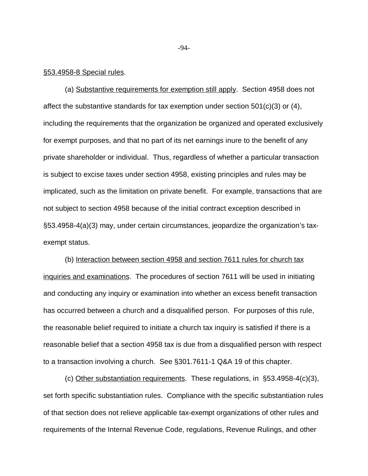#### §53.4958-8 Special rules.

(a) Substantive requirements for exemption still apply. Section 4958 does not affect the substantive standards for tax exemption under section 501(c)(3) or (4), including the requirements that the organization be organized and operated exclusively for exempt purposes, and that no part of its net earnings inure to the benefit of any private shareholder or individual. Thus, regardless of whether a particular transaction is subject to excise taxes under section 4958, existing principles and rules may be implicated, such as the limitation on private benefit. For example, transactions that are not subject to section 4958 because of the initial contract exception described in §53.4958-4(a)(3) may, under certain circumstances, jeopardize the organization's taxexempt status.

(b) Interaction between section 4958 and section 7611 rules for church tax inquiries and examinations. The procedures of section 7611 will be used in initiating and conducting any inquiry or examination into whether an excess benefit transaction has occurred between a church and a disqualified person. For purposes of this rule, the reasonable belief required to initiate a church tax inquiry is satisfied if there is a reasonable belief that a section 4958 tax is due from a disqualified person with respect to a transaction involving a church. See §301.7611-1 Q&A 19 of this chapter.

(c) Other substantiation requirements. These regulations, in §53.4958-4(c)(3), set forth specific substantiation rules. Compliance with the specific substantiation rules of that section does not relieve applicable tax-exempt organizations of other rules and requirements of the Internal Revenue Code, regulations, Revenue Rulings, and other

-94-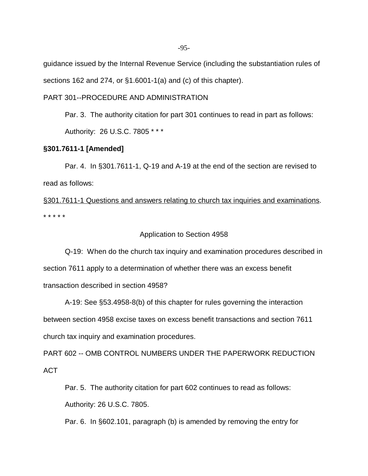guidance issued by the Internal Revenue Service (including the substantiation rules of

sections 162 and 274, or §1.6001-1(a) and (c) of this chapter).

## PART 301--PROCEDURE AND ADMINISTRATION

Par. 3. The authority citation for part 301 continues to read in part as follows:

Authority: 26 U.S.C. 7805 \* \* \*

## **§301.7611-1 [Amended]**

Par. 4. In §301.7611-1, Q-19 and A-19 at the end of the section are revised to read as follows:

§301.7611-1 Questions and answers relating to church tax inquiries and examinations. \* \* \* \* \*

## Application to Section 4958

Q-19: When do the church tax inquiry and examination procedures described in section 7611 apply to a determination of whether there was an excess benefit transaction described in section 4958?

A-19: See §53.4958-8(b) of this chapter for rules governing the interaction between section 4958 excise taxes on excess benefit transactions and section 7611 church tax inquiry and examination procedures.

PART 602 -- OMB CONTROL NUMBERS UNDER THE PAPERWORK REDUCTION ACT

 Par. 5. The authority citation for part 602 continues to read as follows: Authority: 26 U.S.C. 7805.

Par. 6. In §602.101, paragraph (b) is amended by removing the entry for